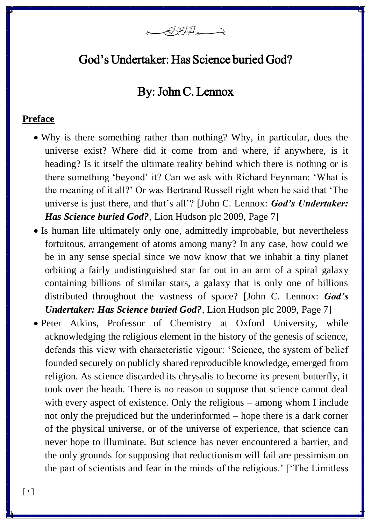بسَّــــــــواللَّهِالرَّحْزِالرَّحِيــــ

#### God's Undertaker: Has Science buried God?  $\overline{a}$

# By: John C. Lennox

#### **Preface**

- Why is there something rather than nothing? Why, in particular, does the universe exist? Where did it come from and where, if anywhere, is it heading? Is it itself the ultimate reality behind which there is nothing or is there something 'beyond' it? Can we ask with Richard Feynman: 'What is the meaning of it all?' Or was Bertrand Russell right when he said that 'The universe is just there, and that's all'? [John C. Lennox: *God's Undertaker: Has Science buried God?*, Lion Hudson plc 2009, Page 7]
- Is human life ultimately only one, admittedly improbable, but nevertheless fortuitous, arrangement of atoms among many? In any case, how could we be in any sense special since we now know that we inhabit a tiny planet orbiting a fairly undistinguished star far out in an arm of a spiral galaxy containing billions of similar stars, a galaxy that is only one of billions distributed throughout the vastness of space? [John C. Lennox: *God's Undertaker: Has Science buried God?*, Lion Hudson plc 2009, Page 7]
- Peter Atkins, Professor of Chemistry at Oxford University, while acknowledging the religious element in the history of the genesis of science, defends this view with characteristic vigour: 'Science, the system of belief founded securely on publicly shared reproducible knowledge, emerged from religion. As science discarded its chrysalis to become its present butterfly, it took over the heath. There is no reason to suppose that science cannot deal with every aspect of existence. Only the religious – among whom I include not only the prejudiced but the underinformed – hope there is a dark corner of the physical universe, or of the universe of experience, that science can never hope to illuminate. But science has never encountered a barrier, and the only grounds for supposing that reductionism will fail are pessimism on the part of scientists and fear in the minds of the religious.' ['The Limitless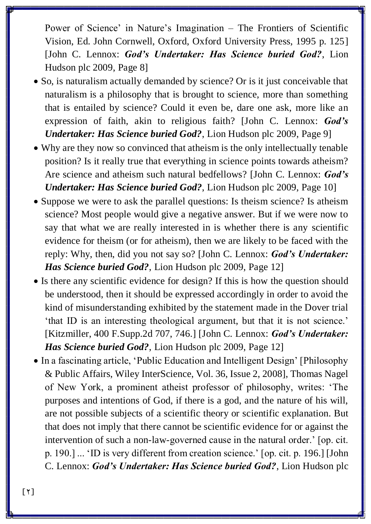Power of Science' in Nature's Imagination – The Frontiers of Scientific Vision, Ed. John Cornwell, Oxford, Oxford University Press, 1995 p. 125] [John C. Lennox: *God's Undertaker: Has Science buried God?*, Lion Hudson plc 2009, Page 8]

- So, is naturalism actually demanded by science? Or is it just conceivable that naturalism is a philosophy that is brought to science, more than something that is entailed by science? Could it even be, dare one ask, more like an expression of faith, akin to religious faith? [John C. Lennox: *God's Undertaker: Has Science buried God?*, Lion Hudson plc 2009, Page 9]
- Why are they now so convinced that atheism is the only intellectually tenable position? Is it really true that everything in science points towards atheism? Are science and atheism such natural bedfellows? [John C. Lennox: *God's Undertaker: Has Science buried God?*, Lion Hudson plc 2009, Page 10]
- Suppose we were to ask the parallel questions: Is theism science? Is atheism science? Most people would give a negative answer. But if we were now to say that what we are really interested in is whether there is any scientific evidence for theism (or for atheism), then we are likely to be faced with the reply: Why, then, did you not say so? [John C. Lennox: *God's Undertaker: Has Science buried God?*, Lion Hudson plc 2009, Page 12]
- Is there any scientific evidence for design? If this is how the question should be understood, then it should be expressed accordingly in order to avoid the kind of misunderstanding exhibited by the statement made in the Dover trial 'that ID is an interesting theological argument, but that it is not science.' [Kitzmiller, 400 F.Supp.2d 707, 746.] [John C. Lennox: *God's Undertaker: Has Science buried God?*, Lion Hudson plc 2009, Page 12]
- In a fascinating article, 'Public Education and Intelligent Design' [Philosophy] & Public Affairs, Wiley InterScience, Vol. 36, Issue 2, 2008], Thomas Nagel of New York, a prominent atheist professor of philosophy, writes: 'The purposes and intentions of God, if there is a god, and the nature of his will, are not possible subjects of a scientific theory or scientific explanation. But that does not imply that there cannot be scientific evidence for or against the intervention of such a non-law-governed cause in the natural order.' [op. cit. p. 190.] ... 'ID is very different from creation science.' [op. cit. p. 196.] [John C. Lennox: *God's Undertaker: Has Science buried God?*, Lion Hudson plc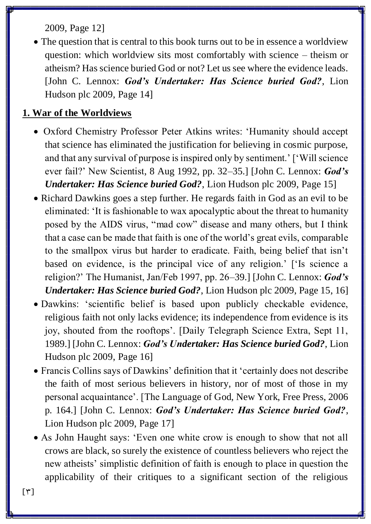2009, Page 12]

• The question that is central to this book turns out to be in essence a worldview question: which worldview sits most comfortably with science – theism or atheism? Has science buried God or not? Let us see where the evidence leads. [John C. Lennox: *God's Undertaker: Has Science buried God?*, Lion Hudson plc 2009, Page 14]

#### **1. War of the Worldviews**

- Oxford Chemistry Professor Peter Atkins writes: 'Humanity should accept that science has eliminated the justification for believing in cosmic purpose, and that any survival of purpose is inspired only by sentiment.' ['Will science ever fail?' New Scientist, 8 Aug 1992, pp. 32–35.] [John C. Lennox: *God's Undertaker: Has Science buried God?*, Lion Hudson plc 2009, Page 15]
- Richard Dawkins goes a step further. He regards faith in God as an evil to be eliminated: 'It is fashionable to wax apocalyptic about the threat to humanity posed by the AIDS virus, "mad cow" disease and many others, but I think that a case can be made that faith is one of the world's great evils, comparable to the smallpox virus but harder to eradicate. Faith, being belief that isn't based on evidence, is the principal vice of any religion.' ['Is science a religion?' The Humanist, Jan/Feb 1997, pp. 26–39.] [John C. Lennox: *God's Undertaker: Has Science buried God?*, Lion Hudson plc 2009, Page 15, 16]
- Dawkins: 'scientific belief is based upon publicly checkable evidence, religious faith not only lacks evidence; its independence from evidence is its joy, shouted from the rooftops'. [Daily Telegraph Science Extra, Sept 11, 1989.] [John C. Lennox: *God's Undertaker: Has Science buried God?*, Lion Hudson plc 2009, Page 16]
- Francis Collins says of Dawkins' definition that it 'certainly does not describe the faith of most serious believers in history, nor of most of those in my personal acquaintance'. [The Language of God, New York, Free Press, 2006 p. 164.] [John C. Lennox: *God's Undertaker: Has Science buried God?*, Lion Hudson plc 2009, Page 17]
- As John Haught says: 'Even one white crow is enough to show that not all crows are black, so surely the existence of countless believers who reject the new atheists' simplistic definition of faith is enough to place in question the applicability of their critiques to a significant section of the religious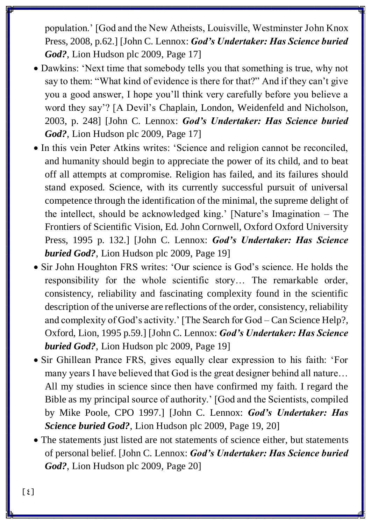population.' [God and the New Atheists, Louisville, Westminster John Knox Press, 2008, p.62.] [John C. Lennox: *God's Undertaker: Has Science buried God?*, Lion Hudson plc 2009, Page 17]

- Dawkins: 'Next time that somebody tells you that something is true, why not say to them: "What kind of evidence is there for that?" And if they can't give you a good answer, I hope you'll think very carefully before you believe a word they say'? [A Devil's Chaplain, London, Weidenfeld and Nicholson, 2003, p. 248] [John C. Lennox: *God's Undertaker: Has Science buried God?*, Lion Hudson plc 2009, Page 17]
- In this vein Peter Atkins writes: 'Science and religion cannot be reconciled, and humanity should begin to appreciate the power of its child, and to beat off all attempts at compromise. Religion has failed, and its failures should stand exposed. Science, with its currently successful pursuit of universal competence through the identification of the minimal, the supreme delight of the intellect, should be acknowledged king.' [Nature's Imagination – The Frontiers of Scientific Vision, Ed. John Cornwell, Oxford Oxford University Press, 1995 p. 132.] [John C. Lennox: *God's Undertaker: Has Science buried God?*, Lion Hudson plc 2009, Page 19]
- Sir John Houghton FRS writes: 'Our science is God's science. He holds the responsibility for the whole scientific story… The remarkable order, consistency, reliability and fascinating complexity found in the scientific description of the universe are reflections of the order, consistency, reliability and complexity of God's activity.' [The Search for God – Can Science Help?, Oxford, Lion, 1995 p.59.] [John C. Lennox: *God's Undertaker: Has Science buried God?*, Lion Hudson plc 2009, Page 19]
- Sir Ghillean Prance FRS, gives equally clear expression to his faith: 'For many years I have believed that God is the great designer behind all nature… All my studies in science since then have confirmed my faith. I regard the Bible as my principal source of authority.' [God and the Scientists, compiled by Mike Poole, CPO 1997.] [John C. Lennox: *God's Undertaker: Has Science buried God?*, Lion Hudson plc 2009, Page 19, 20]
- The statements just listed are not statements of science either, but statements of personal belief. [John C. Lennox: *God's Undertaker: Has Science buried God?*, Lion Hudson plc 2009, Page 20]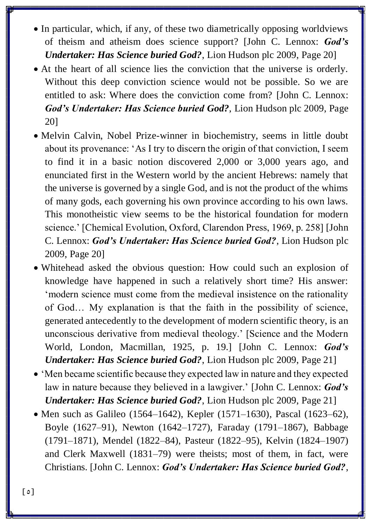- In particular, which, if any, of these two diametrically opposing worldviews of theism and atheism does science support? [John C. Lennox: *God's Undertaker: Has Science buried God?*, Lion Hudson plc 2009, Page 20]
- At the heart of all science lies the conviction that the universe is orderly. Without this deep conviction science would not be possible. So we are entitled to ask: Where does the conviction come from? [John C. Lennox: *God's Undertaker: Has Science buried God?*, Lion Hudson plc 2009, Page 20]
- Melvin Calvin, Nobel Prize-winner in biochemistry, seems in little doubt about its provenance: 'As I try to discern the origin of that conviction, I seem to find it in a basic notion discovered 2,000 or 3,000 years ago, and enunciated first in the Western world by the ancient Hebrews: namely that the universe is governed by a single God, and is not the product of the whims of many gods, each governing his own province according to his own laws. This monotheistic view seems to be the historical foundation for modern science.' [Chemical Evolution, Oxford, Clarendon Press, 1969, p. 258] [John C. Lennox: *God's Undertaker: Has Science buried God?*, Lion Hudson plc 2009, Page 20]
- Whitehead asked the obvious question: How could such an explosion of knowledge have happened in such a relatively short time? His answer: 'modern science must come from the medieval insistence on the rationality of God… My explanation is that the faith in the possibility of science, generated antecedently to the development of modern scientific theory, is an unconscious derivative from medieval theology.' [Science and the Modern World, London, Macmillan, 1925, p. 19.] [John C. Lennox: *God's Undertaker: Has Science buried God?*, Lion Hudson plc 2009, Page 21]
- 'Men became scientific because they expected law in nature and they expected law in nature because they believed in a lawgiver.' [John C. Lennox: *God's Undertaker: Has Science buried God?*, Lion Hudson plc 2009, Page 21]
- Men such as Galileo (1564–1642), Kepler (1571–1630), Pascal (1623–62), Boyle (1627–91), Newton (1642–1727), Faraday (1791–1867), Babbage (1791–1871), Mendel (1822–84), Pasteur (1822–95), Kelvin (1824–1907) and Clerk Maxwell (1831–79) were theists; most of them, in fact, were Christians. [John C. Lennox: *God's Undertaker: Has Science buried God?*,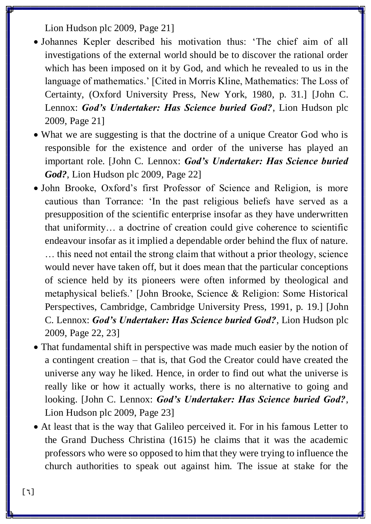Lion Hudson plc 2009, Page 21]

- Johannes Kepler described his motivation thus: 'The chief aim of all investigations of the external world should be to discover the rational order which has been imposed on it by God, and which he revealed to us in the language of mathematics.' [Cited in Morris Kline, Mathematics: The Loss of Certainty, (Oxford University Press, New York, 1980, p. 31.] [John C. Lennox: *God's Undertaker: Has Science buried God?*, Lion Hudson plc 2009, Page 21]
- What we are suggesting is that the doctrine of a unique Creator God who is responsible for the existence and order of the universe has played an important role. [John C. Lennox: *God's Undertaker: Has Science buried God?*, Lion Hudson plc 2009, Page 22]
- John Brooke, Oxford's first Professor of Science and Religion, is more cautious than Torrance: 'In the past religious beliefs have served as a presupposition of the scientific enterprise insofar as they have underwritten that uniformity… a doctrine of creation could give coherence to scientific endeavour insofar as it implied a dependable order behind the flux of nature. … this need not entail the strong claim that without a prior theology, science would never have taken off, but it does mean that the particular conceptions of science held by its pioneers were often informed by theological and metaphysical beliefs.' [John Brooke, Science & Religion: Some Historical Perspectives, Cambridge, Cambridge University Press, 1991, p. 19.] [John C. Lennox: *God's Undertaker: Has Science buried God?*, Lion Hudson plc 2009, Page 22, 23]
- That fundamental shift in perspective was made much easier by the notion of a contingent creation – that is, that God the Creator could have created the universe any way he liked. Hence, in order to find out what the universe is really like or how it actually works, there is no alternative to going and looking. [John C. Lennox: *God's Undertaker: Has Science buried God?*, Lion Hudson plc 2009, Page 23]
- At least that is the way that Galileo perceived it. For in his famous Letter to the Grand Duchess Christina (1615) he claims that it was the academic professors who were so opposed to him that they were trying to influence the church authorities to speak out against him. The issue at stake for the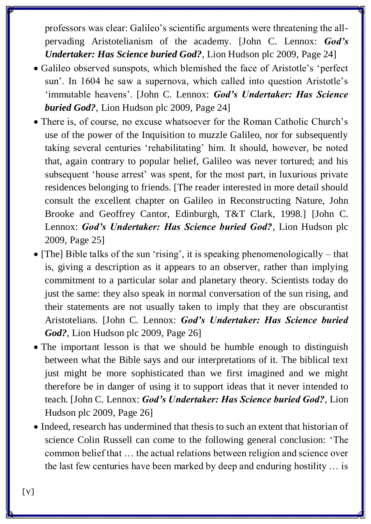professors was clear: Galileo's scientific arguments were threatening the allpervading Aristotelianism of the academy. [John C. Lennox: *God's Undertaker: Has Science buried God?*, Lion Hudson plc 2009, Page 24]

- Galileo observed sunspots, which blemished the face of Aristotle's 'perfect sun'. In 1604 he saw a supernova, which called into question Aristotle's 'immutable heavens'. [John C. Lennox: *God's Undertaker: Has Science buried God?*, Lion Hudson plc 2009, Page 24]
- There is, of course, no excuse whatsoever for the Roman Catholic Church's use of the power of the Inquisition to muzzle Galileo, nor for subsequently taking several centuries 'rehabilitating' him. It should, however, be noted that, again contrary to popular belief, Galileo was never tortured; and his subsequent 'house arrest' was spent, for the most part, in luxurious private residences belonging to friends. [The reader interested in more detail should consult the excellent chapter on Galileo in Reconstructing Nature, John Brooke and Geoffrey Cantor, Edinburgh, T&T Clark, 1998.] [John C. Lennox: *God's Undertaker: Has Science buried God?*, Lion Hudson plc 2009, Page 25]
- [The] Bible talks of the sun 'rising', it is speaking phenomenologically that is, giving a description as it appears to an observer, rather than implying commitment to a particular solar and planetary theory. Scientists today do just the same: they also speak in normal conversation of the sun rising, and their statements are not usually taken to imply that they are obscurantist Aristotelians. [John C. Lennox: *God's Undertaker: Has Science buried God?*, Lion Hudson plc 2009, Page 26]
- The important lesson is that we should be humble enough to distinguish between what the Bible says and our interpretations of it. The biblical text just might be more sophisticated than we first imagined and we might therefore be in danger of using it to support ideas that it never intended to teach. [John C. Lennox: *God's Undertaker: Has Science buried God?*, Lion Hudson plc 2009, Page 26]
- Indeed, research has undermined that thesis to such an extent that historian of science Colin Russell can come to the following general conclusion: 'The common belief that … the actual relations between religion and science over the last few centuries have been marked by deep and enduring hostility … is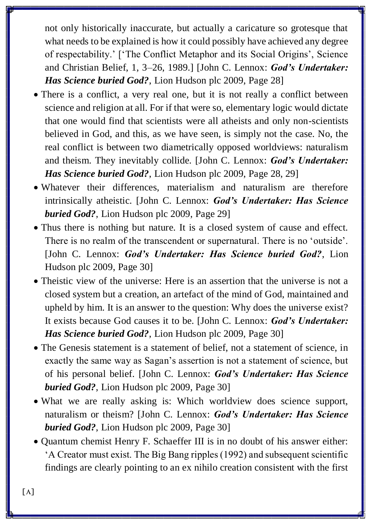not only historically inaccurate, but actually a caricature so grotesque that what needs to be explained is how it could possibly have achieved any degree of respectability.' ['The Conflict Metaphor and its Social Origins', Science and Christian Belief, 1, 3–26, 1989.] [John C. Lennox: *God's Undertaker: Has Science buried God?*, Lion Hudson plc 2009, Page 28]

- There is a conflict, a very real one, but it is not really a conflict between science and religion at all. For if that were so, elementary logic would dictate that one would find that scientists were all atheists and only non-scientists believed in God, and this, as we have seen, is simply not the case. No, the real conflict is between two diametrically opposed worldviews: naturalism and theism. They inevitably collide. [John C. Lennox: *God's Undertaker: Has Science buried God?*, Lion Hudson plc 2009, Page 28, 29]
- Whatever their differences, materialism and naturalism are therefore intrinsically atheistic. [John C. Lennox: *God's Undertaker: Has Science buried God?*, Lion Hudson plc 2009, Page 29]
- Thus there is nothing but nature. It is a closed system of cause and effect. There is no realm of the transcendent or supernatural. There is no 'outside'. [John C. Lennox: *God's Undertaker: Has Science buried God?*, Lion Hudson plc 2009, Page 30]
- Theistic view of the universe: Here is an assertion that the universe is not a closed system but a creation, an artefact of the mind of God, maintained and upheld by him. It is an answer to the question: Why does the universe exist? It exists because God causes it to be. [John C. Lennox: *God's Undertaker: Has Science buried God?*, Lion Hudson plc 2009, Page 30]
- The Genesis statement is a statement of belief, not a statement of science, in exactly the same way as Sagan's assertion is not a statement of science, but of his personal belief. [John C. Lennox: *God's Undertaker: Has Science buried God?*, Lion Hudson plc 2009, Page 30]
- What we are really asking is: Which worldview does science support, naturalism or theism? [John C. Lennox: *God's Undertaker: Has Science buried God?*, Lion Hudson plc 2009, Page 30]
- Quantum chemist Henry F. Schaeffer III is in no doubt of his answer either: 'A Creator must exist. The Big Bang ripples (1992) and subsequent scientific findings are clearly pointing to an ex nihilo creation consistent with the first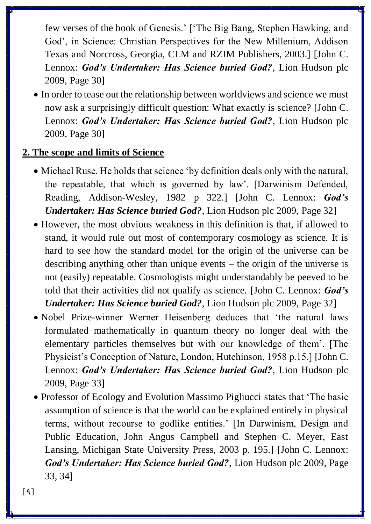few verses of the book of Genesis.' ['The Big Bang, Stephen Hawking, and God', in Science: Christian Perspectives for the New Millenium, Addison Texas and Norcross, Georgia, CLM and RZIM Publishers, 2003.] [John C. Lennox: *God's Undertaker: Has Science buried God?*, Lion Hudson plc 2009, Page 30]

• In order to tease out the relationship between worldviews and science we must now ask a surprisingly difficult question: What exactly is science? [John C. Lennox: *God's Undertaker: Has Science buried God?*, Lion Hudson plc 2009, Page 30]

### **2. The scope and limits of Science**

- Michael Ruse. He holds that science 'by definition deals only with the natural, the repeatable, that which is governed by law'. [Darwinism Defended, Reading, Addison-Wesley, 1982 p 322.] [John C. Lennox: *God's Undertaker: Has Science buried God?*, Lion Hudson plc 2009, Page 32]
- However, the most obvious weakness in this definition is that, if allowed to stand, it would rule out most of contemporary cosmology as science. It is hard to see how the standard model for the origin of the universe can be describing anything other than unique events – the origin of the universe is not (easily) repeatable. Cosmologists might understandably be peeved to be told that their activities did not qualify as science. [John C. Lennox: *God's Undertaker: Has Science buried God?*, Lion Hudson plc 2009, Page 32]
- Nobel Prize-winner Werner Heisenberg deduces that 'the natural laws formulated mathematically in quantum theory no longer deal with the elementary particles themselves but with our knowledge of them'. [The Physicist's Conception of Nature, London, Hutchinson, 1958 p.15.] [John C. Lennox: *God's Undertaker: Has Science buried God?*, Lion Hudson plc 2009, Page 33]
- Professor of Ecology and Evolution Massimo Pigliucci states that 'The basic assumption of science is that the world can be explained entirely in physical terms, without recourse to godlike entities.' [In Darwinism, Design and Public Education, John Angus Campbell and Stephen C. Meyer, East Lansing, Michigan State University Press, 2003 p. 195.] [John C. Lennox: *God's Undertaker: Has Science buried God?*, Lion Hudson plc 2009, Page 33, 34]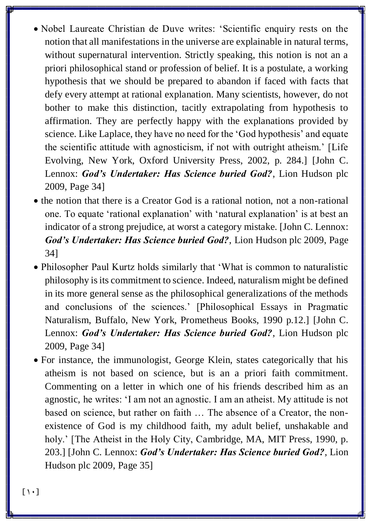- Nobel Laureate Christian de Duve writes: 'Scientific enquiry rests on the notion that all manifestations in the universe are explainable in natural terms, without supernatural intervention. Strictly speaking, this notion is not an a priori philosophical stand or profession of belief. It is a postulate, a working hypothesis that we should be prepared to abandon if faced with facts that defy every attempt at rational explanation. Many scientists, however, do not bother to make this distinction, tacitly extrapolating from hypothesis to affirmation. They are perfectly happy with the explanations provided by science. Like Laplace, they have no need for the 'God hypothesis' and equate the scientific attitude with agnosticism, if not with outright atheism.' [Life Evolving, New York, Oxford University Press, 2002, p. 284.] [John C. Lennox: *God's Undertaker: Has Science buried God?*, Lion Hudson plc 2009, Page 34]
- the notion that there is a Creator God is a rational notion, not a non-rational one. To equate 'rational explanation' with 'natural explanation' is at best an indicator of a strong prejudice, at worst a category mistake. [John C. Lennox: *God's Undertaker: Has Science buried God?*, Lion Hudson plc 2009, Page 34]
- Philosopher Paul Kurtz holds similarly that 'What is common to naturalistic philosophy is its commitment to science. Indeed, naturalism might be defined in its more general sense as the philosophical generalizations of the methods and conclusions of the sciences.' [Philosophical Essays in Pragmatic Naturalism, Buffalo, New York, Prometheus Books, 1990 p.12.] [John C. Lennox: *God's Undertaker: Has Science buried God?*, Lion Hudson plc 2009, Page 34]
- For instance, the immunologist, George Klein, states categorically that his atheism is not based on science, but is an a priori faith commitment. Commenting on a letter in which one of his friends described him as an agnostic, he writes: 'I am not an agnostic. I am an atheist. My attitude is not based on science, but rather on faith … The absence of a Creator, the nonexistence of God is my childhood faith, my adult belief, unshakable and holy.' [The Atheist in the Holy City, Cambridge, MA, MIT Press, 1990, p. 203.] [John C. Lennox: *God's Undertaker: Has Science buried God?*, Lion Hudson plc 2009, Page 35]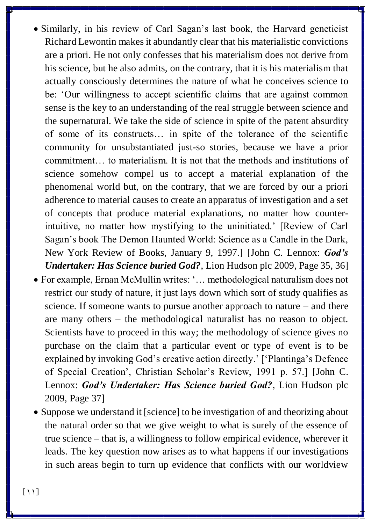- Similarly, in his review of Carl Sagan's last book, the Harvard geneticist Richard Lewontin makes it abundantly clear that his materialistic convictions are a priori. He not only confesses that his materialism does not derive from his science, but he also admits, on the contrary, that it is his materialism that actually consciously determines the nature of what he conceives science to be: 'Our willingness to accept scientific claims that are against common sense is the key to an understanding of the real struggle between science and the supernatural. We take the side of science in spite of the patent absurdity of some of its constructs… in spite of the tolerance of the scientific community for unsubstantiated just-so stories, because we have a prior commitment… to materialism. It is not that the methods and institutions of science somehow compel us to accept a material explanation of the phenomenal world but, on the contrary, that we are forced by our a priori adherence to material causes to create an apparatus of investigation and a set of concepts that produce material explanations, no matter how counterintuitive, no matter how mystifying to the uninitiated.' [Review of Carl Sagan's book The Demon Haunted World: Science as a Candle in the Dark, New York Review of Books, January 9, 1997.] [John C. Lennox: *God's Undertaker: Has Science buried God?*, Lion Hudson plc 2009, Page 35, 36] For example, Ernan McMullin writes: '… methodological naturalism does not
- restrict our study of nature, it just lays down which sort of study qualifies as science. If someone wants to pursue another approach to nature – and there are many others – the methodological naturalist has no reason to object. Scientists have to proceed in this way; the methodology of science gives no purchase on the claim that a particular event or type of event is to be explained by invoking God's creative action directly.' ['Plantinga's Defence of Special Creation', Christian Scholar's Review, 1991 p. 57.] [John C. Lennox: *God's Undertaker: Has Science buried God?*, Lion Hudson plc 2009, Page 37]
- Suppose we understand it [science] to be investigation of and theorizing about the natural order so that we give weight to what is surely of the essence of true science – that is, a willingness to follow empirical evidence, wherever it leads. The key question now arises as to what happens if our investigations in such areas begin to turn up evidence that conflicts with our worldview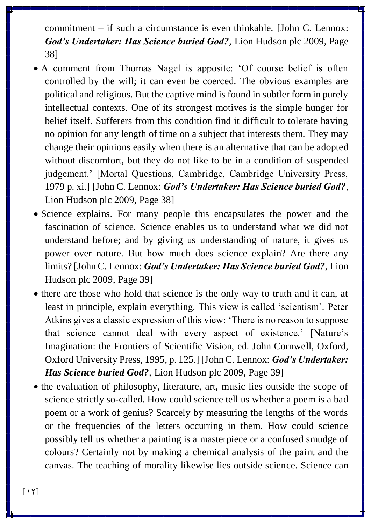commitment – if such a circumstance is even thinkable. [John C. Lennox: *God's Undertaker: Has Science buried God?*, Lion Hudson plc 2009, Page 38]

- A comment from Thomas Nagel is apposite: 'Of course belief is often controlled by the will; it can even be coerced. The obvious examples are political and religious. But the captive mind is found in subtler form in purely intellectual contexts. One of its strongest motives is the simple hunger for belief itself. Sufferers from this condition find it difficult to tolerate having no opinion for any length of time on a subject that interests them. They may change their opinions easily when there is an alternative that can be adopted without discomfort, but they do not like to be in a condition of suspended judgement.' [Mortal Questions, Cambridge, Cambridge University Press, 1979 p. xi.] [John C. Lennox: *God's Undertaker: Has Science buried God?*, Lion Hudson plc 2009, Page 38]
- Science explains. For many people this encapsulates the power and the fascination of science. Science enables us to understand what we did not understand before; and by giving us understanding of nature, it gives us power over nature. But how much does science explain? Are there any limits? [John C. Lennox: *God's Undertaker: Has Science buried God?*, Lion Hudson plc 2009, Page 39]
- there are those who hold that science is the only way to truth and it can, at least in principle, explain everything. This view is called 'scientism'. Peter Atkins gives a classic expression of this view: 'There is no reason to suppose that science cannot deal with every aspect of existence.' [Nature's Imagination: the Frontiers of Scientific Vision, ed. John Cornwell, Oxford, Oxford University Press, 1995, p. 125.] [John C. Lennox: *God's Undertaker: Has Science buried God?*, Lion Hudson plc 2009, Page 39]
- the evaluation of philosophy, literature, art, music lies outside the scope of science strictly so-called. How could science tell us whether a poem is a bad poem or a work of genius? Scarcely by measuring the lengths of the words or the frequencies of the letters occurring in them. How could science possibly tell us whether a painting is a masterpiece or a confused smudge of colours? Certainly not by making a chemical analysis of the paint and the canvas. The teaching of morality likewise lies outside science. Science can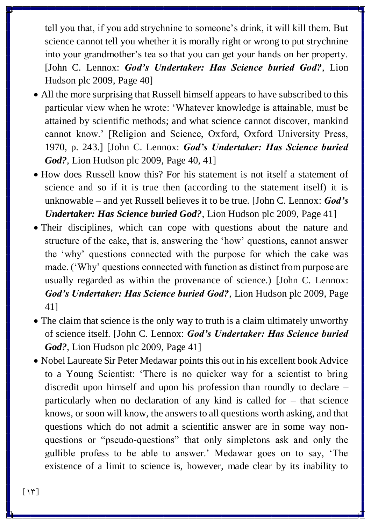tell you that, if you add strychnine to someone's drink, it will kill them. But science cannot tell you whether it is morally right or wrong to put strychnine into your grandmother's tea so that you can get your hands on her property. [John C. Lennox: *God's Undertaker: Has Science buried God?*, Lion Hudson plc 2009, Page 40]

- All the more surprising that Russell himself appears to have subscribed to this particular view when he wrote: 'Whatever knowledge is attainable, must be attained by scientific methods; and what science cannot discover, mankind cannot know.' [Religion and Science, Oxford, Oxford University Press, 1970, p. 243.] [John C. Lennox: *God's Undertaker: Has Science buried God?*, Lion Hudson plc 2009, Page 40, 41]
- How does Russell know this? For his statement is not itself a statement of science and so if it is true then (according to the statement itself) it is unknowable – and yet Russell believes it to be true. [John C. Lennox: *God's Undertaker: Has Science buried God?*, Lion Hudson plc 2009, Page 41]
- Their disciplines, which can cope with questions about the nature and structure of the cake, that is, answering the 'how' questions, cannot answer the 'why' questions connected with the purpose for which the cake was made. ('Why' questions connected with function as distinct from purpose are usually regarded as within the provenance of science.) [John C. Lennox: *God's Undertaker: Has Science buried God?*, Lion Hudson plc 2009, Page 41]
- The claim that science is the only way to truth is a claim ultimately unworthy of science itself. [John C. Lennox: *God's Undertaker: Has Science buried God?*, Lion Hudson plc 2009, Page 41]
- Nobel Laureate Sir Peter Medawar points this out in his excellent book Advice to a Young Scientist: 'There is no quicker way for a scientist to bring discredit upon himself and upon his profession than roundly to declare – particularly when no declaration of any kind is called for – that science knows, or soon will know, the answers to all questions worth asking, and that questions which do not admit a scientific answer are in some way nonquestions or "pseudo-questions" that only simpletons ask and only the gullible profess to be able to answer.' Medawar goes on to say, 'The existence of a limit to science is, however, made clear by its inability to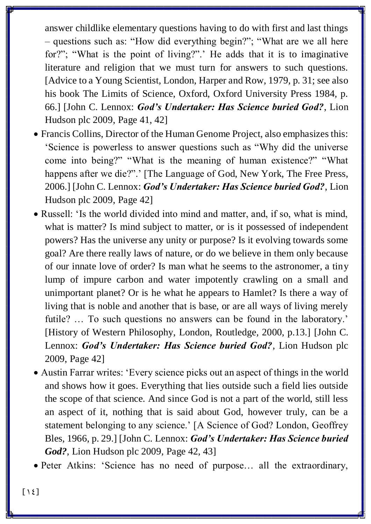answer childlike elementary questions having to do with first and last things – questions such as: "How did everything begin?"; "What are we all here for?"; "What is the point of living?".' He adds that it is to imaginative literature and religion that we must turn for answers to such questions. [Advice to a Young Scientist, London, Harper and Row, 1979, p. 31; see also his book The Limits of Science, Oxford, Oxford University Press 1984, p. 66.] [John C. Lennox: *God's Undertaker: Has Science buried God?*, Lion Hudson plc 2009, Page 41, 42]

- Francis Collins, Director of the Human Genome Project, also emphasizes this: 'Science is powerless to answer questions such as "Why did the universe come into being?" "What is the meaning of human existence?" "What happens after we die?".' [The Language of God, New York, The Free Press, 2006.] [John C. Lennox: *God's Undertaker: Has Science buried God?*, Lion Hudson plc 2009, Page 42]
- Russell: 'Is the world divided into mind and matter, and, if so, what is mind, what is matter? Is mind subject to matter, or is it possessed of independent powers? Has the universe any unity or purpose? Is it evolving towards some goal? Are there really laws of nature, or do we believe in them only because of our innate love of order? Is man what he seems to the astronomer, a tiny lump of impure carbon and water impotently crawling on a small and unimportant planet? Or is he what he appears to Hamlet? Is there a way of living that is noble and another that is base, or are all ways of living merely futile? … To such questions no answers can be found in the laboratory.' [History of Western Philosophy, London, Routledge, 2000, p.13.] [John C. Lennox: *God's Undertaker: Has Science buried God?*, Lion Hudson plc 2009, Page 42]
- Austin Farrar writes: 'Every science picks out an aspect of things in the world and shows how it goes. Everything that lies outside such a field lies outside the scope of that science. And since God is not a part of the world, still less an aspect of it, nothing that is said about God, however truly, can be a statement belonging to any science.' [A Science of God? London, Geoffrey Bles, 1966, p. 29.] [John C. Lennox: *God's Undertaker: Has Science buried God?*, Lion Hudson plc 2009, Page 42, 43]

Peter Atkins: 'Science has no need of purpose… all the extraordinary,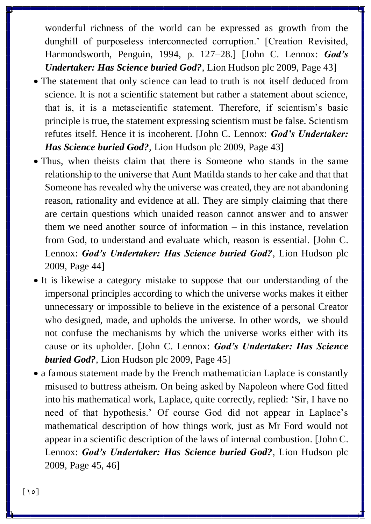wonderful richness of the world can be expressed as growth from the dunghill of purposeless interconnected corruption.' [Creation Revisited, Harmondsworth, Penguin, 1994, p. 127–28.] [John C. Lennox: *God's Undertaker: Has Science buried God?*, Lion Hudson plc 2009, Page 43]

- The statement that only science can lead to truth is not itself deduced from science. It is not a scientific statement but rather a statement about science, that is, it is a metascientific statement. Therefore, if scientism's basic principle is true, the statement expressing scientism must be false. Scientism refutes itself. Hence it is incoherent. [John C. Lennox: *God's Undertaker: Has Science buried God?*, Lion Hudson plc 2009, Page 43]
- Thus, when theists claim that there is Someone who stands in the same relationship to the universe that Aunt Matilda stands to her cake and that that Someone has revealed why the universe was created, they are not abandoning reason, rationality and evidence at all. They are simply claiming that there are certain questions which unaided reason cannot answer and to answer them we need another source of information  $-$  in this instance, revelation from God, to understand and evaluate which, reason is essential. [John C. Lennox: *God's Undertaker: Has Science buried God?*, Lion Hudson plc 2009, Page 44]
- It is likewise a category mistake to suppose that our understanding of the impersonal principles according to which the universe works makes it either unnecessary or impossible to believe in the existence of a personal Creator who designed, made, and upholds the universe. In other words, we should not confuse the mechanisms by which the universe works either with its cause or its upholder. [John C. Lennox: *God's Undertaker: Has Science buried God?*, Lion Hudson plc 2009, Page 45]
- a famous statement made by the French mathematician Laplace is constantly misused to buttress atheism. On being asked by Napoleon where God fitted into his mathematical work, Laplace, quite correctly, replied: 'Sir, I have no need of that hypothesis.' Of course God did not appear in Laplace's mathematical description of how things work, just as Mr Ford would not appear in a scientific description of the laws of internal combustion. [John C. Lennox: *God's Undertaker: Has Science buried God?*, Lion Hudson plc 2009, Page 45, 46]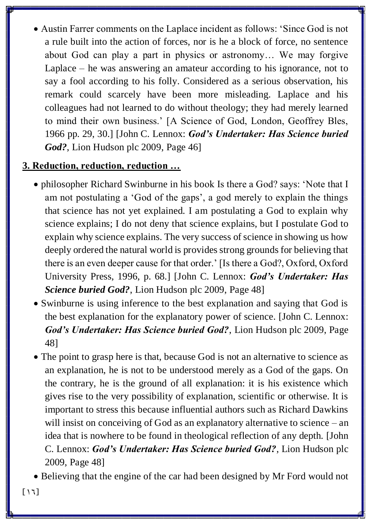Austin Farrer comments on the Laplace incident as follows: 'Since God is not a rule built into the action of forces, nor is he a block of force, no sentence about God can play a part in physics or astronomy… We may forgive Laplace – he was answering an amateur according to his ignorance, not to say a fool according to his folly. Considered as a serious observation, his remark could scarcely have been more misleading. Laplace and his colleagues had not learned to do without theology; they had merely learned to mind their own business.' [A Science of God, London, Geoffrey Bles, 1966 pp. 29, 30.] [John C. Lennox: *God's Undertaker: Has Science buried God?*, Lion Hudson plc 2009, Page 46]

## **3. Reduction, reduction, reduction …**

- philosopher Richard Swinburne in his book Is there a God? says: 'Note that I am not postulating a 'God of the gaps', a god merely to explain the things that science has not yet explained. I am postulating a God to explain why science explains; I do not deny that science explains, but I postulate God to explain why science explains. The very success of science in showing us how deeply ordered the natural world is provides strong grounds for believing that there is an even deeper cause for that order.' [Is there a God?, Oxford, Oxford University Press, 1996, p. 68.] [John C. Lennox: *God's Undertaker: Has Science buried God?*, Lion Hudson plc 2009, Page 48]
- Swinburne is using inference to the best explanation and saying that God is the best explanation for the explanatory power of science. [John C. Lennox: *God's Undertaker: Has Science buried God?*, Lion Hudson plc 2009, Page 48]
- The point to grasp here is that, because God is not an alternative to science as an explanation, he is not to be understood merely as a God of the gaps. On the contrary, he is the ground of all explanation: it is his existence which gives rise to the very possibility of explanation, scientific or otherwise. It is important to stress this because influential authors such as Richard Dawkins will insist on conceiving of God as an explanatory alternative to science – an idea that is nowhere to be found in theological reflection of any depth. [John C. Lennox: *God's Undertaker: Has Science buried God?*, Lion Hudson plc 2009, Page 48]
- Believing that the engine of the car had been designed by Mr Ford would not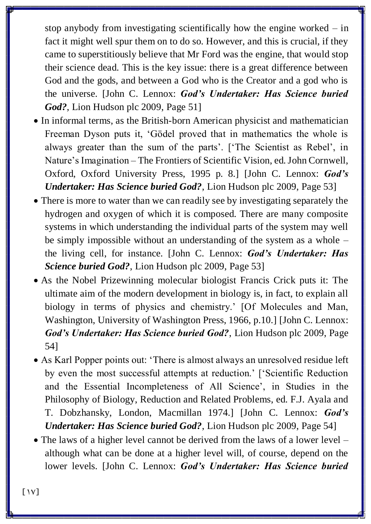stop anybody from investigating scientifically how the engine worked – in fact it might well spur them on to do so. However, and this is crucial, if they came to superstitiously believe that Mr Ford was the engine, that would stop their science dead. This is the key issue: there is a great difference between God and the gods, and between a God who is the Creator and a god who is the universe. [John C. Lennox: *God's Undertaker: Has Science buried God?*, Lion Hudson plc 2009, Page 51]

- In informal terms, as the British-born American physicist and mathematician Freeman Dyson puts it, 'Gödel proved that in mathematics the whole is always greater than the sum of the parts'. ['The Scientist as Rebel', in Nature's Imagination – The Frontiers of Scientific Vision, ed. John Cornwell, Oxford, Oxford University Press, 1995 p. 8.] [John C. Lennox: *God's Undertaker: Has Science buried God?*, Lion Hudson plc 2009, Page 53]
- There is more to water than we can readily see by investigating separately the hydrogen and oxygen of which it is composed. There are many composite systems in which understanding the individual parts of the system may well be simply impossible without an understanding of the system as a whole – the living cell, for instance. [John C. Lennox: *God's Undertaker: Has Science buried God?*, Lion Hudson plc 2009, Page 53]
- As the Nobel Prizewinning molecular biologist Francis Crick puts it: The ultimate aim of the modern development in biology is, in fact, to explain all biology in terms of physics and chemistry.' [Of Molecules and Man, Washington, University of Washington Press, 1966, p.10.] [John C. Lennox: *God's Undertaker: Has Science buried God?*, Lion Hudson plc 2009, Page 54]
- As Karl Popper points out: 'There is almost always an unresolved residue left by even the most successful attempts at reduction.' ['Scientific Reduction and the Essential Incompleteness of All Science', in Studies in the Philosophy of Biology, Reduction and Related Problems, ed. F.J. Ayala and T. Dobzhansky, London, Macmillan 1974.] [John C. Lennox: *God's Undertaker: Has Science buried God?*, Lion Hudson plc 2009, Page 54]
- The laws of a higher level cannot be derived from the laws of a lower level although what can be done at a higher level will, of course, depend on the lower levels. [John C. Lennox: *God's Undertaker: Has Science buried*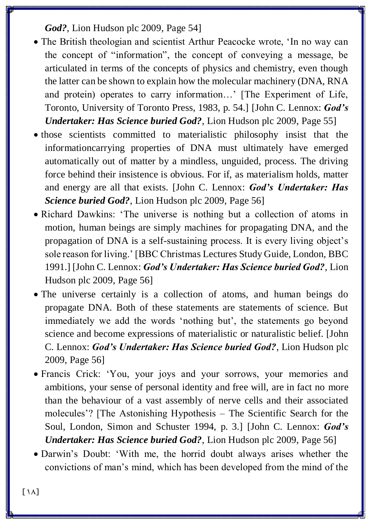*God?*, Lion Hudson plc 2009, Page 54]

- The British theologian and scientist Arthur Peacocke wrote, 'In no way can the concept of "information", the concept of conveying a message, be articulated in terms of the concepts of physics and chemistry, even though the latter can be shown to explain how the molecular machinery (DNA, RNA and protein) operates to carry information…' [The Experiment of Life, Toronto, University of Toronto Press, 1983, p. 54.] [John C. Lennox: *God's Undertaker: Has Science buried God?*, Lion Hudson plc 2009, Page 55]
- those scientists committed to materialistic philosophy insist that the informationcarrying properties of DNA must ultimately have emerged automatically out of matter by a mindless, unguided, process. The driving force behind their insistence is obvious. For if, as materialism holds, matter and energy are all that exists. [John C. Lennox: *God's Undertaker: Has Science buried God?*, Lion Hudson plc 2009, Page 56]
- Richard Dawkins: 'The universe is nothing but a collection of atoms in motion, human beings are simply machines for propagating DNA, and the propagation of DNA is a self-sustaining process. It is every living object's sole reason for living.' [BBC Christmas Lectures Study Guide, London, BBC 1991.] [John C. Lennox: *God's Undertaker: Has Science buried God?*, Lion Hudson plc 2009, Page 56]
- The universe certainly is a collection of atoms, and human beings do propagate DNA. Both of these statements are statements of science. But immediately we add the words 'nothing but', the statements go beyond science and become expressions of materialistic or naturalistic belief. [John C. Lennox: *God's Undertaker: Has Science buried God?*, Lion Hudson plc 2009, Page 56]
- Francis Crick: 'You, your joys and your sorrows, your memories and ambitions, your sense of personal identity and free will, are in fact no more than the behaviour of a vast assembly of nerve cells and their associated molecules'? [The Astonishing Hypothesis – The Scientific Search for the Soul, London, Simon and Schuster 1994, p. 3.] [John C. Lennox: *God's Undertaker: Has Science buried God?*, Lion Hudson plc 2009, Page 56]
- Darwin's Doubt: 'With me, the horrid doubt always arises whether the convictions of man's mind, which has been developed from the mind of the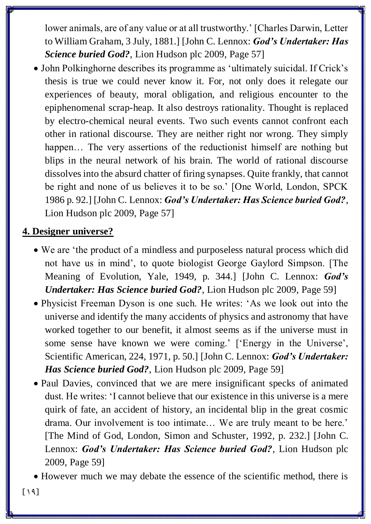lower animals, are of any value or at all trustworthy.' [Charles Darwin, Letter to William Graham, 3 July, 1881.] [John C. Lennox: *God's Undertaker: Has Science buried God?*, Lion Hudson plc 2009, Page 57]

 John Polkinghorne describes its programme as 'ultimately suicidal. If Crick's thesis is true we could never know it. For, not only does it relegate our experiences of beauty, moral obligation, and religious encounter to the epiphenomenal scrap-heap. It also destroys rationality. Thought is replaced by electro-chemical neural events. Two such events cannot confront each other in rational discourse. They are neither right nor wrong. They simply happen... The very assertions of the reductionist himself are nothing but blips in the neural network of his brain. The world of rational discourse dissolves into the absurd chatter of firing synapses. Quite frankly, that cannot be right and none of us believes it to be so.' [One World, London, SPCK 1986 p. 92.] [John C. Lennox: *God's Undertaker: Has Science buried God?*, Lion Hudson plc 2009, Page 57]

### **4. Designer universe?**

- We are 'the product of a mindless and purposeless natural process which did not have us in mind', to quote biologist George Gaylord Simpson. [The Meaning of Evolution, Yale, 1949, p. 344.] [John C. Lennox: *God's Undertaker: Has Science buried God?*, Lion Hudson plc 2009, Page 59]
- Physicist Freeman Dyson is one such. He writes: 'As we look out into the universe and identify the many accidents of physics and astronomy that have worked together to our benefit, it almost seems as if the universe must in some sense have known we were coming.' ['Energy in the Universe', Scientific American, 224, 1971, p. 50.] [John C. Lennox: *God's Undertaker: Has Science buried God?*, Lion Hudson plc 2009, Page 59]
- Paul Davies, convinced that we are mere insignificant specks of animated dust. He writes: 'I cannot believe that our existence in this universe is a mere quirk of fate, an accident of history, an incidental blip in the great cosmic drama. Our involvement is too intimate… We are truly meant to be here.' [The Mind of God, London, Simon and Schuster, 1992, p. 232.] [John C. Lennox: *God's Undertaker: Has Science buried God?*, Lion Hudson plc 2009, Page 59]

However much we may debate the essence of the scientific method, there is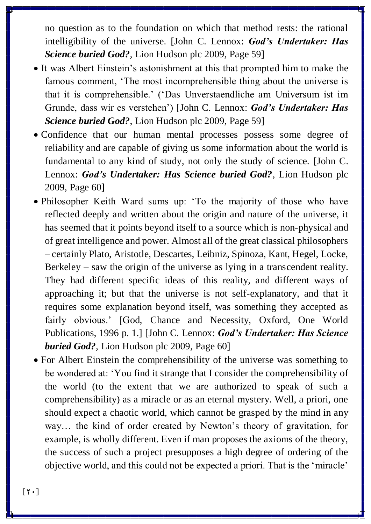no question as to the foundation on which that method rests: the rational intelligibility of the universe. [John C. Lennox: *God's Undertaker: Has Science buried God?*, Lion Hudson plc 2009, Page 59]

- It was Albert Einstein's astonishment at this that prompted him to make the famous comment, 'The most incomprehensible thing about the universe is that it is comprehensible.' ('Das Unverstaendliche am Universum ist im Grunde, dass wir es verstehen') [John C. Lennox: *God's Undertaker: Has Science buried God?*, Lion Hudson plc 2009, Page 59]
- Confidence that our human mental processes possess some degree of reliability and are capable of giving us some information about the world is fundamental to any kind of study, not only the study of science. [John C. Lennox: *God's Undertaker: Has Science buried God?*, Lion Hudson plc 2009, Page 60]
- Philosopher Keith Ward sums up: 'To the majority of those who have reflected deeply and written about the origin and nature of the universe, it has seemed that it points beyond itself to a source which is non-physical and of great intelligence and power. Almost all of the great classical philosophers – certainly Plato, Aristotle, Descartes, Leibniz, Spinoza, Kant, Hegel, Locke, Berkeley – saw the origin of the universe as lying in a transcendent reality. They had different specific ideas of this reality, and different ways of approaching it; but that the universe is not self-explanatory, and that it requires some explanation beyond itself, was something they accepted as fairly obvious.' [God, Chance and Necessity, Oxford, One World Publications, 1996 p. 1.] [John C. Lennox: *God's Undertaker: Has Science buried God?*, Lion Hudson plc 2009, Page 60]
- For Albert Einstein the comprehensibility of the universe was something to be wondered at: 'You find it strange that I consider the comprehensibility of the world (to the extent that we are authorized to speak of such a comprehensibility) as a miracle or as an eternal mystery. Well, a priori, one should expect a chaotic world, which cannot be grasped by the mind in any way… the kind of order created by Newton's theory of gravitation, for example, is wholly different. Even if man proposes the axioms of the theory, the success of such a project presupposes a high degree of ordering of the objective world, and this could not be expected a priori. That is the 'miracle'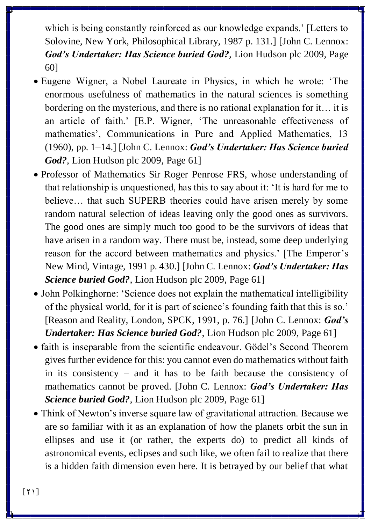which is being constantly reinforced as our knowledge expands.' [Letters to Solovine, New York, Philosophical Library, 1987 p. 131.] [John C. Lennox: *God's Undertaker: Has Science buried God?*, Lion Hudson plc 2009, Page 60]

- Eugene Wigner, a Nobel Laureate in Physics, in which he wrote: 'The enormous usefulness of mathematics in the natural sciences is something bordering on the mysterious, and there is no rational explanation for it… it is an article of faith.' [E.P. Wigner, 'The unreasonable effectiveness of mathematics', Communications in Pure and Applied Mathematics, 13 (1960), pp. 1–14.] [John C. Lennox: *God's Undertaker: Has Science buried God?*, Lion Hudson plc 2009, Page 61]
- Professor of Mathematics Sir Roger Penrose FRS, whose understanding of that relationship is unquestioned, has this to say about it: 'It is hard for me to believe… that such SUPERB theories could have arisen merely by some random natural selection of ideas leaving only the good ones as survivors. The good ones are simply much too good to be the survivors of ideas that have arisen in a random way. There must be, instead, some deep underlying reason for the accord between mathematics and physics.' [The Emperor's New Mind, Vintage, 1991 p. 430.] [John C. Lennox: *God's Undertaker: Has Science buried God?*, Lion Hudson plc 2009, Page 61]
- John Polkinghorne: 'Science does not explain the mathematical intelligibility of the physical world, for it is part of science's founding faith that this is so.' [Reason and Reality, London, SPCK, 1991, p. 76.] [John C. Lennox: *God's Undertaker: Has Science buried God?*, Lion Hudson plc 2009, Page 61]
- faith is inseparable from the scientific endeavour. Gödel's Second Theorem gives further evidence for this: you cannot even do mathematics without faith in its consistency – and it has to be faith because the consistency of mathematics cannot be proved. [John C. Lennox: *God's Undertaker: Has Science buried God?*, Lion Hudson plc 2009, Page 61]
- Think of Newton's inverse square law of gravitational attraction. Because we are so familiar with it as an explanation of how the planets orbit the sun in ellipses and use it (or rather, the experts do) to predict all kinds of astronomical events, eclipses and such like, we often fail to realize that there is a hidden faith dimension even here. It is betrayed by our belief that what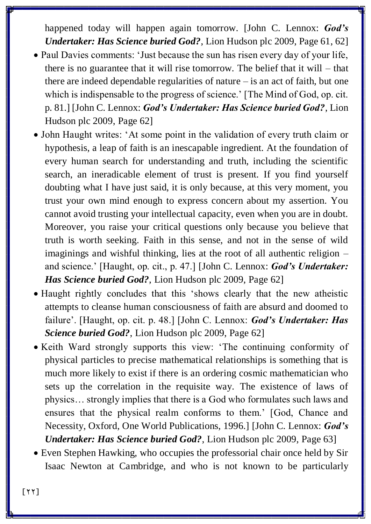happened today will happen again tomorrow. [John C. Lennox: *God's Undertaker: Has Science buried God?*, Lion Hudson plc 2009, Page 61, 62]

- Paul Davies comments: 'Just because the sun has risen every day of your life, there is no guarantee that it will rise tomorrow. The belief that it will – that there are indeed dependable regularities of nature – is an act of faith, but one which is indispensable to the progress of science.' [The Mind of God, op. cit. p. 81.] [John C. Lennox: *God's Undertaker: Has Science buried God?*, Lion Hudson plc 2009, Page 62]
- John Haught writes: 'At some point in the validation of every truth claim or hypothesis, a leap of faith is an inescapable ingredient. At the foundation of every human search for understanding and truth, including the scientific search, an ineradicable element of trust is present. If you find yourself doubting what I have just said, it is only because, at this very moment, you trust your own mind enough to express concern about my assertion. You cannot avoid trusting your intellectual capacity, even when you are in doubt. Moreover, you raise your critical questions only because you believe that truth is worth seeking. Faith in this sense, and not in the sense of wild imaginings and wishful thinking, lies at the root of all authentic religion – and science.' [Haught, op. cit., p. 47.] [John C. Lennox: *God's Undertaker: Has Science buried God?*, Lion Hudson plc 2009, Page 62]
- Haught rightly concludes that this 'shows clearly that the new atheistic attempts to cleanse human consciousness of faith are absurd and doomed to failure'. [Haught, op. cit. p. 48.] [John C. Lennox: *God's Undertaker: Has Science buried God?*, Lion Hudson plc 2009, Page 62]
- Keith Ward strongly supports this view: 'The continuing conformity of physical particles to precise mathematical relationships is something that is much more likely to exist if there is an ordering cosmic mathematician who sets up the correlation in the requisite way. The existence of laws of physics… strongly implies that there is a God who formulates such laws and ensures that the physical realm conforms to them.' [God, Chance and Necessity, Oxford, One World Publications, 1996.] [John C. Lennox: *God's Undertaker: Has Science buried God?*, Lion Hudson plc 2009, Page 63]
- Even Stephen Hawking, who occupies the professorial chair once held by Sir Isaac Newton at Cambridge, and who is not known to be particularly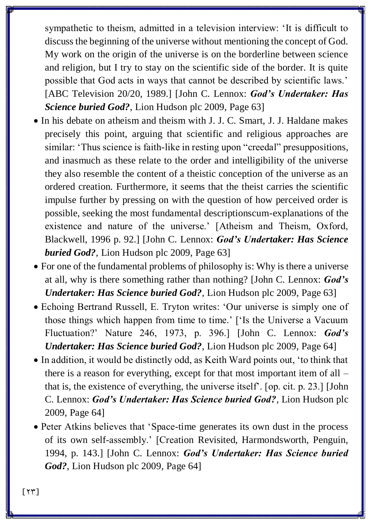sympathetic to theism, admitted in a television interview: 'It is difficult to discuss the beginning of the universe without mentioning the concept of God. My work on the origin of the universe is on the borderline between science and religion, but I try to stay on the scientific side of the border. It is quite possible that God acts in ways that cannot be described by scientific laws.' [ABC Television 20/20, 1989.] [John C. Lennox: *God's Undertaker: Has Science buried God?*, Lion Hudson plc 2009, Page 63]

- In his debate on atheism and theism with J. J. C. Smart, J. J. Haldane makes precisely this point, arguing that scientific and religious approaches are similar: 'Thus science is faith-like in resting upon "creedal" presuppositions, and inasmuch as these relate to the order and intelligibility of the universe they also resemble the content of a theistic conception of the universe as an ordered creation. Furthermore, it seems that the theist carries the scientific impulse further by pressing on with the question of how perceived order is possible, seeking the most fundamental descriptionscum-explanations of the existence and nature of the universe.' [Atheism and Theism, Oxford, Blackwell, 1996 p. 92.] [John C. Lennox: *God's Undertaker: Has Science buried God?*, Lion Hudson plc 2009, Page 63]
- For one of the fundamental problems of philosophy is: Why is there a universe at all, why is there something rather than nothing? [John C. Lennox: *God's Undertaker: Has Science buried God?*, Lion Hudson plc 2009, Page 63]
- Echoing Bertrand Russell, E. Tryton writes: 'Our universe is simply one of those things which happen from time to time.' ['Is the Universe a Vacuum Fluctuation?' Nature 246, 1973, p. 396.] [John C. Lennox: *God's Undertaker: Has Science buried God?*, Lion Hudson plc 2009, Page 64]
- In addition, it would be distinctly odd, as Keith Ward points out, 'to think that there is a reason for everything, except for that most important item of all – that is, the existence of everything, the universe itself'. [op. cit. p. 23.] [John C. Lennox: *God's Undertaker: Has Science buried God?*, Lion Hudson plc 2009, Page 64]
- Peter Atkins believes that 'Space-time generates its own dust in the process of its own self-assembly.' [Creation Revisited, Harmondsworth, Penguin, 1994, p. 143.] [John C. Lennox: *God's Undertaker: Has Science buried God?*, Lion Hudson plc 2009, Page 64]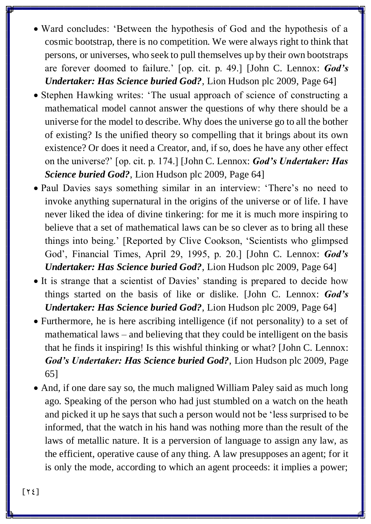- Ward concludes: 'Between the hypothesis of God and the hypothesis of a cosmic bootstrap, there is no competition. We were always right to think that persons, or universes, who seek to pull themselves up by their own bootstraps are forever doomed to failure.' [op. cit. p. 49.] [John C. Lennox: *God's Undertaker: Has Science buried God?*, Lion Hudson plc 2009, Page 64]
- Stephen Hawking writes: 'The usual approach of science of constructing a mathematical model cannot answer the questions of why there should be a universe for the model to describe. Why does the universe go to all the bother of existing? Is the unified theory so compelling that it brings about its own existence? Or does it need a Creator, and, if so, does he have any other effect on the universe?' [op. cit. p. 174.] [John C. Lennox: *God's Undertaker: Has Science buried God?*, Lion Hudson plc 2009, Page 64]
- Paul Davies says something similar in an interview: 'There's no need to invoke anything supernatural in the origins of the universe or of life. I have never liked the idea of divine tinkering: for me it is much more inspiring to believe that a set of mathematical laws can be so clever as to bring all these things into being.' [Reported by Clive Cookson, 'Scientists who glimpsed God', Financial Times, April 29, 1995, p. 20.] [John C. Lennox: *God's Undertaker: Has Science buried God?*, Lion Hudson plc 2009, Page 64]
- It is strange that a scientist of Davies' standing is prepared to decide how things started on the basis of like or dislike. [John C. Lennox: *God's Undertaker: Has Science buried God?*, Lion Hudson plc 2009, Page 64]
- Furthermore, he is here ascribing intelligence (if not personality) to a set of mathematical laws – and believing that they could be intelligent on the basis that he finds it inspiring! Is this wishful thinking or what? [John C. Lennox: *God's Undertaker: Has Science buried God?*, Lion Hudson plc 2009, Page 65]
- And, if one dare say so, the much maligned William Paley said as much long ago. Speaking of the person who had just stumbled on a watch on the heath and picked it up he says that such a person would not be 'less surprised to be informed, that the watch in his hand was nothing more than the result of the laws of metallic nature. It is a perversion of language to assign any law, as the efficient, operative cause of any thing. A law presupposes an agent; for it is only the mode, according to which an agent proceeds: it implies a power;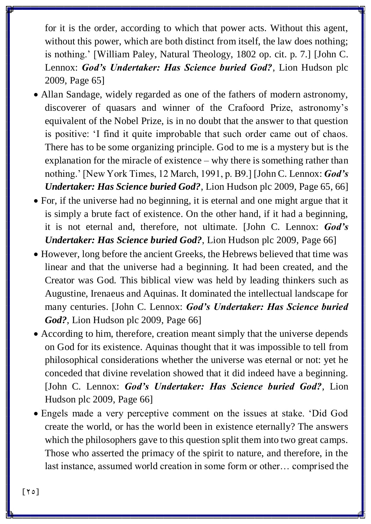for it is the order, according to which that power acts. Without this agent, without this power, which are both distinct from itself, the law does nothing; is nothing.' [William Paley, Natural Theology, 1802 op. cit. p. 7.] [John C. Lennox: *God's Undertaker: Has Science buried God?*, Lion Hudson plc 2009, Page 65]

- Allan Sandage, widely regarded as one of the fathers of modern astronomy, discoverer of quasars and winner of the Crafoord Prize, astronomy's equivalent of the Nobel Prize, is in no doubt that the answer to that question is positive: 'I find it quite improbable that such order came out of chaos. There has to be some organizing principle. God to me is a mystery but is the explanation for the miracle of existence – why there is something rather than nothing.' [New York Times, 12 March, 1991, p. B9.] [John C. Lennox: *God's Undertaker: Has Science buried God?*, Lion Hudson plc 2009, Page 65, 66]
- For, if the universe had no beginning, it is eternal and one might argue that it is simply a brute fact of existence. On the other hand, if it had a beginning, it is not eternal and, therefore, not ultimate. [John C. Lennox: *God's Undertaker: Has Science buried God?*, Lion Hudson plc 2009, Page 66]
- However, long before the ancient Greeks, the Hebrews believed that time was linear and that the universe had a beginning. It had been created, and the Creator was God. This biblical view was held by leading thinkers such as Augustine, Irenaeus and Aquinas. It dominated the intellectual landscape for many centuries. [John C. Lennox: *God's Undertaker: Has Science buried God?*, Lion Hudson plc 2009, Page 66]
- According to him, therefore, creation meant simply that the universe depends on God for its existence. Aquinas thought that it was impossible to tell from philosophical considerations whether the universe was eternal or not: yet he conceded that divine revelation showed that it did indeed have a beginning. [John C. Lennox: *God's Undertaker: Has Science buried God?*, Lion Hudson plc 2009, Page 66]
- Engels made a very perceptive comment on the issues at stake. 'Did God create the world, or has the world been in existence eternally? The answers which the philosophers gave to this question split them into two great camps. Those who asserted the primacy of the spirit to nature, and therefore, in the last instance, assumed world creation in some form or other… comprised the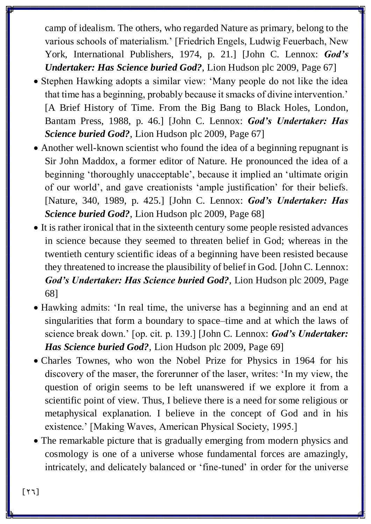camp of idealism. The others, who regarded Nature as primary, belong to the various schools of materialism.' [Friedrich Engels, Ludwig Feuerbach, New York, International Publishers, 1974, p. 21.] [John C. Lennox: *God's Undertaker: Has Science buried God?*, Lion Hudson plc 2009, Page 67]

- Stephen Hawking adopts a similar view: 'Many people do not like the idea that time has a beginning, probably because it smacks of divine intervention.' [A Brief History of Time. From the Big Bang to Black Holes, London, Bantam Press, 1988, p. 46.] [John C. Lennox: *God's Undertaker: Has Science buried God?*, Lion Hudson plc 2009, Page 67]
- Another well-known scientist who found the idea of a beginning repugnant is Sir John Maddox, a former editor of Nature. He pronounced the idea of a beginning 'thoroughly unacceptable', because it implied an 'ultimate origin of our world', and gave creationists 'ample justification' for their beliefs. [Nature, 340, 1989, p. 425.] [John C. Lennox: *God's Undertaker: Has Science buried God?*, Lion Hudson plc 2009, Page 68]
- It is rather ironical that in the sixteenth century some people resisted advances in science because they seemed to threaten belief in God; whereas in the twentieth century scientific ideas of a beginning have been resisted because they threatened to increase the plausibility of belief in God. [John C. Lennox: *God's Undertaker: Has Science buried God?*, Lion Hudson plc 2009, Page 68]
- Hawking admits: 'In real time, the universe has a beginning and an end at singularities that form a boundary to space–time and at which the laws of science break down.' [op. cit. p. 139.] [John C. Lennox: *God's Undertaker: Has Science buried God?*, Lion Hudson plc 2009, Page 69]
- Charles Townes, who won the Nobel Prize for Physics in 1964 for his discovery of the maser, the forerunner of the laser, writes: 'In my view, the question of origin seems to be left unanswered if we explore it from a scientific point of view. Thus, I believe there is a need for some religious or metaphysical explanation. I believe in the concept of God and in his existence.' [Making Waves, American Physical Society, 1995.]
- The remarkable picture that is gradually emerging from modern physics and cosmology is one of a universe whose fundamental forces are amazingly, intricately, and delicately balanced or 'fine-tuned' in order for the universe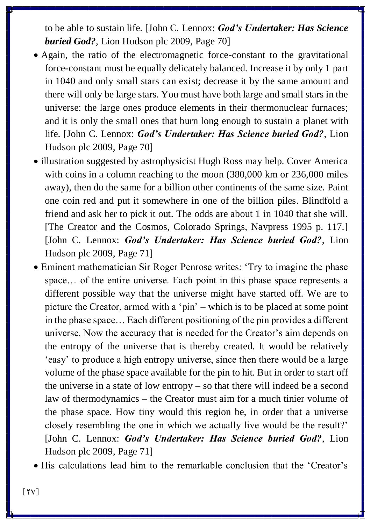to be able to sustain life. [John C. Lennox: *God's Undertaker: Has Science buried God?*, Lion Hudson plc 2009, Page 70]

- Again, the ratio of the electromagnetic force-constant to the gravitational force-constant must be equally delicately balanced. Increase it by only 1 part in 1040 and only small stars can exist; decrease it by the same amount and there will only be large stars. You must have both large and small stars in the universe: the large ones produce elements in their thermonuclear furnaces; and it is only the small ones that burn long enough to sustain a planet with life. [John C. Lennox: *God's Undertaker: Has Science buried God?*, Lion Hudson plc 2009, Page 70]
- illustration suggested by astrophysicist Hugh Ross may help. Cover America with coins in a column reaching to the moon (380,000 km or 236,000 miles away), then do the same for a billion other continents of the same size. Paint one coin red and put it somewhere in one of the billion piles. Blindfold a friend and ask her to pick it out. The odds are about 1 in 1040 that she will. [The Creator and the Cosmos, Colorado Springs, Navpress 1995 p. 117.] [John C. Lennox: *God's Undertaker: Has Science buried God?*, Lion Hudson plc 2009, Page 71]
- Eminent mathematician Sir Roger Penrose writes: 'Try to imagine the phase space… of the entire universe. Each point in this phase space represents a different possible way that the universe might have started off. We are to picture the Creator, armed with a 'pin' – which is to be placed at some point in the phase space… Each different positioning of the pin provides a different universe. Now the accuracy that is needed for the Creator's aim depends on the entropy of the universe that is thereby created. It would be relatively 'easy' to produce a high entropy universe, since then there would be a large volume of the phase space available for the pin to hit. But in order to start off the universe in a state of low entropy – so that there will indeed be a second law of thermodynamics – the Creator must aim for a much tinier volume of the phase space. How tiny would this region be, in order that a universe closely resembling the one in which we actually live would be the result?' [John C. Lennox: *God's Undertaker: Has Science buried God?*, Lion Hudson plc 2009, Page 71]

• His calculations lead him to the remarkable conclusion that the 'Creator's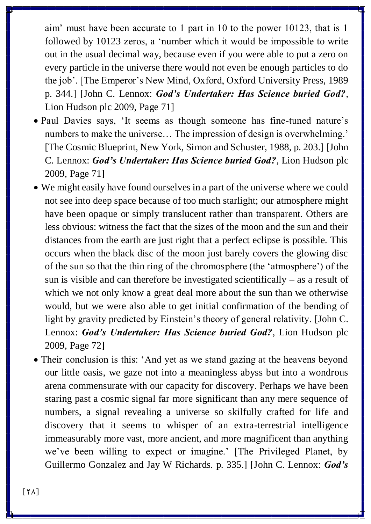aim' must have been accurate to 1 part in 10 to the power 10123, that is 1 followed by 10123 zeros, a 'number which it would be impossible to write out in the usual decimal way, because even if you were able to put a zero on every particle in the universe there would not even be enough particles to do the job'. [The Emperor's New Mind, Oxford, Oxford University Press, 1989 p. 344.] [John C. Lennox: *God's Undertaker: Has Science buried God?*, Lion Hudson plc 2009, Page 71]

- Paul Davies says, 'It seems as though someone has fine-tuned nature's numbers to make the universe... The impression of design is overwhelming.' [The Cosmic Blueprint, New York, Simon and Schuster, 1988, p. 203.] [John C. Lennox: *God's Undertaker: Has Science buried God?*, Lion Hudson plc 2009, Page 71]
- We might easily have found ourselves in a part of the universe where we could not see into deep space because of too much starlight; our atmosphere might have been opaque or simply translucent rather than transparent. Others are less obvious: witness the fact that the sizes of the moon and the sun and their distances from the earth are just right that a perfect eclipse is possible. This occurs when the black disc of the moon just barely covers the glowing disc of the sun so that the thin ring of the chromosphere (the 'atmosphere') of the sun is visible and can therefore be investigated scientifically – as a result of which we not only know a great deal more about the sun than we otherwise would, but we were also able to get initial confirmation of the bending of light by gravity predicted by Einstein's theory of general relativity. [John C. Lennox: *God's Undertaker: Has Science buried God?*, Lion Hudson plc 2009, Page 72]
- Their conclusion is this: 'And yet as we stand gazing at the heavens beyond our little oasis, we gaze not into a meaningless abyss but into a wondrous arena commensurate with our capacity for discovery. Perhaps we have been staring past a cosmic signal far more significant than any mere sequence of numbers, a signal revealing a universe so skilfully crafted for life and discovery that it seems to whisper of an extra-terrestrial intelligence immeasurably more vast, more ancient, and more magnificent than anything we've been willing to expect or imagine.' [The Privileged Planet, by Guillermo Gonzalez and Jay W Richards. p. 335.] [John C. Lennox: *God's*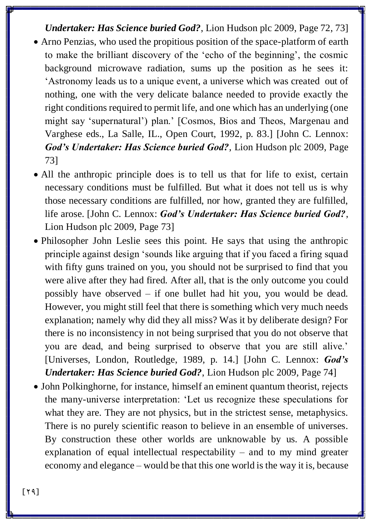- *Undertaker: Has Science buried God?*, Lion Hudson plc 2009, Page 72, 73] Arno Penzias, who used the propitious position of the space-platform of earth to make the brilliant discovery of the 'echo of the beginning', the cosmic background microwave radiation, sums up the position as he sees it: 'Astronomy leads us to a unique event, a universe which was created out of nothing, one with the very delicate balance needed to provide exactly the right conditions required to permit life, and one which has an underlying (one might say 'supernatural') plan.' [Cosmos, Bios and Theos, Margenau and Varghese eds., La Salle, IL., Open Court, 1992, p. 83.] [John C. Lennox: *God's Undertaker: Has Science buried God?*, Lion Hudson plc 2009, Page 73]
- All the anthropic principle does is to tell us that for life to exist, certain necessary conditions must be fulfilled. But what it does not tell us is why those necessary conditions are fulfilled, nor how, granted they are fulfilled, life arose. [John C. Lennox: *God's Undertaker: Has Science buried God?*, Lion Hudson plc 2009, Page 73]
- Philosopher John Leslie sees this point. He says that using the anthropic principle against design 'sounds like arguing that if you faced a firing squad with fifty guns trained on you, you should not be surprised to find that you were alive after they had fired. After all, that is the only outcome you could possibly have observed – if one bullet had hit you, you would be dead. However, you might still feel that there is something which very much needs explanation; namely why did they all miss? Was it by deliberate design? For there is no inconsistency in not being surprised that you do not observe that you are dead, and being surprised to observe that you are still alive.' [Universes, London, Routledge, 1989, p. 14.] [John C. Lennox: *God's Undertaker: Has Science buried God?*, Lion Hudson plc 2009, Page 74]
- John Polkinghorne, for instance, himself an eminent quantum theorist, rejects the many-universe interpretation: 'Let us recognize these speculations for what they are. They are not physics, but in the strictest sense, metaphysics. There is no purely scientific reason to believe in an ensemble of universes. By construction these other worlds are unknowable by us. A possible explanation of equal intellectual respectability – and to my mind greater economy and elegance – would be that this one world is the way it is, because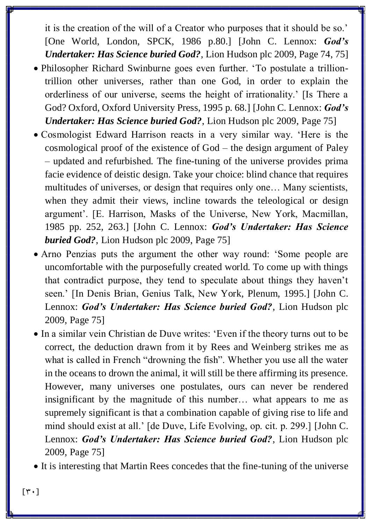it is the creation of the will of a Creator who purposes that it should be so.' [One World, London, SPCK, 1986 p.80.] [John C. Lennox: *God's Undertaker: Has Science buried God?*, Lion Hudson plc 2009, Page 74, 75]

- Philosopher Richard Swinburne goes even further. 'To postulate a trilliontrillion other universes, rather than one God, in order to explain the orderliness of our universe, seems the height of irrationality.' [Is There a God? Oxford, Oxford University Press, 1995 p. 68.] [John C. Lennox: *God's Undertaker: Has Science buried God?*, Lion Hudson plc 2009, Page 75]
- Cosmologist Edward Harrison reacts in a very similar way. 'Here is the cosmological proof of the existence of God – the design argument of Paley – updated and refurbished. The fine-tuning of the universe provides prima facie evidence of deistic design. Take your choice: blind chance that requires multitudes of universes, or design that requires only one… Many scientists, when they admit their views, incline towards the teleological or design argument'. [E. Harrison, Masks of the Universe, New York, Macmillan, 1985 pp. 252, 263.] [John C. Lennox: *God's Undertaker: Has Science buried God?*, Lion Hudson plc 2009, Page 75]
- Arno Penzias puts the argument the other way round: 'Some people are uncomfortable with the purposefully created world. To come up with things that contradict purpose, they tend to speculate about things they haven't seen.' [In Denis Brian, Genius Talk, New York, Plenum, 1995.] [John C. Lennox: *God's Undertaker: Has Science buried God?*, Lion Hudson plc 2009, Page 75]
- In a similar vein Christian de Duve writes: 'Even if the theory turns out to be correct, the deduction drawn from it by Rees and Weinberg strikes me as what is called in French "drowning the fish". Whether you use all the water in the oceans to drown the animal, it will still be there affirming its presence. However, many universes one postulates, ours can never be rendered insignificant by the magnitude of this number… what appears to me as supremely significant is that a combination capable of giving rise to life and mind should exist at all.' [de Duve, Life Evolving, op. cit. p. 299.] [John C. Lennox: *God's Undertaker: Has Science buried God?*, Lion Hudson plc 2009, Page 75]
- It is interesting that Martin Rees concedes that the fine-tuning of the universe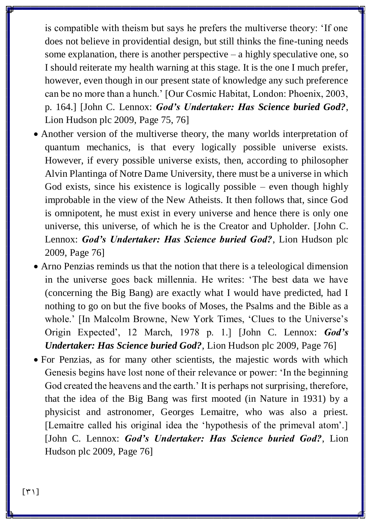is compatible with theism but says he prefers the multiverse theory: 'If one does not believe in providential design, but still thinks the fine-tuning needs some explanation, there is another perspective  $-$  a highly speculative one, so I should reiterate my health warning at this stage. It is the one I much prefer, however, even though in our present state of knowledge any such preference can be no more than a hunch.' [Our Cosmic Habitat, London: Phoenix, 2003, p. 164.] [John C. Lennox: *God's Undertaker: Has Science buried God?*, Lion Hudson plc 2009, Page 75, 76]

- Another version of the multiverse theory, the many worlds interpretation of quantum mechanics, is that every logically possible universe exists. However, if every possible universe exists, then, according to philosopher Alvin Plantinga of Notre Dame University, there must be a universe in which God exists, since his existence is logically possible – even though highly improbable in the view of the New Atheists. It then follows that, since God is omnipotent, he must exist in every universe and hence there is only one universe, this universe, of which he is the Creator and Upholder. [John C. Lennox: *God's Undertaker: Has Science buried God?*, Lion Hudson plc 2009, Page 76]
- Arno Penzias reminds us that the notion that there is a teleological dimension in the universe goes back millennia. He writes: 'The best data we have (concerning the Big Bang) are exactly what I would have predicted, had I nothing to go on but the five books of Moses, the Psalms and the Bible as a whole.' [In Malcolm Browne, New York Times, 'Clues to the Universe's Origin Expected', 12 March, 1978 p. 1.] [John C. Lennox: *God's Undertaker: Has Science buried God?*, Lion Hudson plc 2009, Page 76]
- For Penzias, as for many other scientists, the majestic words with which Genesis begins have lost none of their relevance or power: 'In the beginning God created the heavens and the earth.' It is perhaps not surprising, therefore, that the idea of the Big Bang was first mooted (in Nature in 1931) by a physicist and astronomer, Georges Lemaitre, who was also a priest. [Lemaitre called his original idea the 'hypothesis of the primeval atom'.] [John C. Lennox: *God's Undertaker: Has Science buried God?*, Lion Hudson plc 2009, Page 76]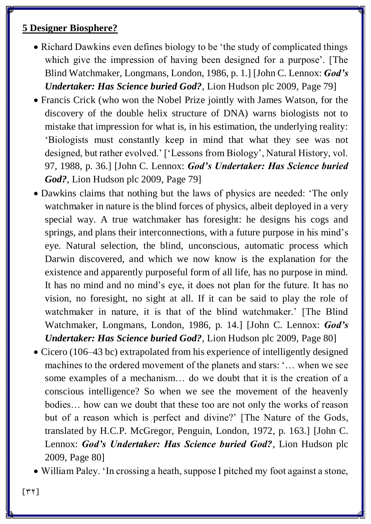### **5 Designer Biosphere?**

- Richard Dawkins even defines biology to be 'the study of complicated things which give the impression of having been designed for a purpose'. [The Blind Watchmaker, Longmans, London, 1986, p. 1.] [John C. Lennox: *God's Undertaker: Has Science buried God?*, Lion Hudson plc 2009, Page 79]
- Francis Crick (who won the Nobel Prize jointly with James Watson, for the discovery of the double helix structure of DNA) warns biologists not to mistake that impression for what is, in his estimation, the underlying reality: 'Biologists must constantly keep in mind that what they see was not designed, but rather evolved.' ['Lessons from Biology', Natural History, vol. 97, 1988, p. 36.] [John C. Lennox: *God's Undertaker: Has Science buried God?*, Lion Hudson plc 2009, Page 79]
- Dawkins claims that nothing but the laws of physics are needed: 'The only watchmaker in nature is the blind forces of physics, albeit deployed in a very special way. A true watchmaker has foresight: he designs his cogs and springs, and plans their interconnections, with a future purpose in his mind's eye. Natural selection, the blind, unconscious, automatic process which Darwin discovered, and which we now know is the explanation for the existence and apparently purposeful form of all life, has no purpose in mind. It has no mind and no mind's eye, it does not plan for the future. It has no vision, no foresight, no sight at all. If it can be said to play the role of watchmaker in nature, it is that of the blind watchmaker.' [The Blind Watchmaker, Longmans, London, 1986, p. 14.] [John C. Lennox: *God's Undertaker: Has Science buried God?*, Lion Hudson plc 2009, Page 80]
- Cicero (106–43 bc) extrapolated from his experience of intelligently designed machines to the ordered movement of the planets and stars: '… when we see some examples of a mechanism… do we doubt that it is the creation of a conscious intelligence? So when we see the movement of the heavenly bodies… how can we doubt that these too are not only the works of reason but of a reason which is perfect and divine?' [The Nature of the Gods, translated by H.C.P. McGregor, Penguin, London, 1972, p. 163.] [John C. Lennox: *God's Undertaker: Has Science buried God?*, Lion Hudson plc 2009, Page 80]
- William Paley. 'In crossing a heath, suppose I pitched my foot against a stone,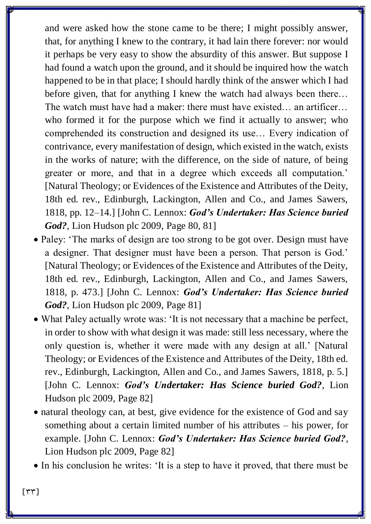and were asked how the stone came to be there; I might possibly answer, that, for anything I knew to the contrary, it had lain there forever: nor would it perhaps be very easy to show the absurdity of this answer. But suppose I had found a watch upon the ground, and it should be inquired how the watch happened to be in that place; I should hardly think of the answer which I had before given, that for anything I knew the watch had always been there… The watch must have had a maker: there must have existed… an artificer… who formed it for the purpose which we find it actually to answer; who comprehended its construction and designed its use… Every indication of contrivance, every manifestation of design, which existed in the watch, exists in the works of nature; with the difference, on the side of nature, of being greater or more, and that in a degree which exceeds all computation.' [Natural Theology; or Evidences of the Existence and Attributes of the Deity, 18th ed. rev., Edinburgh, Lackington, Allen and Co., and James Sawers, 1818, pp. 12–14.] [John C. Lennox: *God's Undertaker: Has Science buried God?*, Lion Hudson plc 2009, Page 80, 81]

- Paley: 'The marks of design are too strong to be got over. Design must have a designer. That designer must have been a person. That person is God.' [Natural Theology; or Evidences of the Existence and Attributes of the Deity, 18th ed. rev., Edinburgh, Lackington, Allen and Co., and James Sawers, 1818, p. 473.] [John C. Lennox: *God's Undertaker: Has Science buried God?*, Lion Hudson plc 2009, Page 81]
- What Paley actually wrote was: 'It is not necessary that a machine be perfect, in order to show with what design it was made: still less necessary, where the only question is, whether it were made with any design at all.' [Natural Theology; or Evidences of the Existence and Attributes of the Deity, 18th ed. rev., Edinburgh, Lackington, Allen and Co., and James Sawers, 1818, p. 5.] [John C. Lennox: *God's Undertaker: Has Science buried God?*, Lion Hudson plc 2009, Page 82]
- natural theology can, at best, give evidence for the existence of God and say something about a certain limited number of his attributes – his power, for example. [John C. Lennox: *God's Undertaker: Has Science buried God?*, Lion Hudson plc 2009, Page 82]

• In his conclusion he writes: 'It is a step to have it proved, that there must be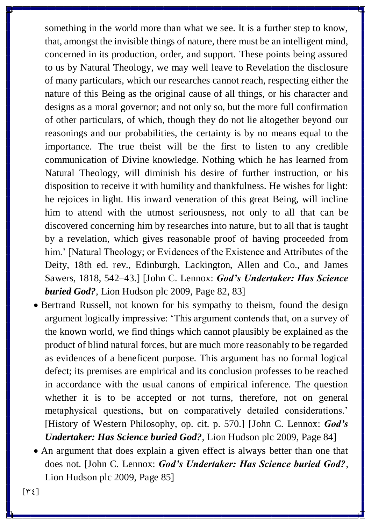something in the world more than what we see. It is a further step to know, that, amongst the invisible things of nature, there must be an intelligent mind, concerned in its production, order, and support. These points being assured to us by Natural Theology, we may well leave to Revelation the disclosure of many particulars, which our researches cannot reach, respecting either the nature of this Being as the original cause of all things, or his character and designs as a moral governor; and not only so, but the more full confirmation of other particulars, of which, though they do not lie altogether beyond our reasonings and our probabilities, the certainty is by no means equal to the importance. The true theist will be the first to listen to any credible communication of Divine knowledge. Nothing which he has learned from Natural Theology, will diminish his desire of further instruction, or his disposition to receive it with humility and thankfulness. He wishes for light: he rejoices in light. His inward veneration of this great Being, will incline him to attend with the utmost seriousness, not only to all that can be discovered concerning him by researches into nature, but to all that is taught by a revelation, which gives reasonable proof of having proceeded from him.' [Natural Theology; or Evidences of the Existence and Attributes of the Deity, 18th ed. rev., Edinburgh, Lackington, Allen and Co., and James Sawers, 1818, 542–43.] [John C. Lennox: *God's Undertaker: Has Science buried God?*, Lion Hudson plc 2009, Page 82, 83]

- Bertrand Russell, not known for his sympathy to theism, found the design argument logically impressive: 'This argument contends that, on a survey of the known world, we find things which cannot plausibly be explained as the product of blind natural forces, but are much more reasonably to be regarded as evidences of a beneficent purpose. This argument has no formal logical defect; its premises are empirical and its conclusion professes to be reached in accordance with the usual canons of empirical inference. The question whether it is to be accepted or not turns, therefore, not on general metaphysical questions, but on comparatively detailed considerations.' [History of Western Philosophy, op. cit. p. 570.] [John C. Lennox: *God's Undertaker: Has Science buried God?*, Lion Hudson plc 2009, Page 84]
- An argument that does explain a given effect is always better than one that does not. [John C. Lennox: *God's Undertaker: Has Science buried God?*, Lion Hudson plc 2009, Page 85]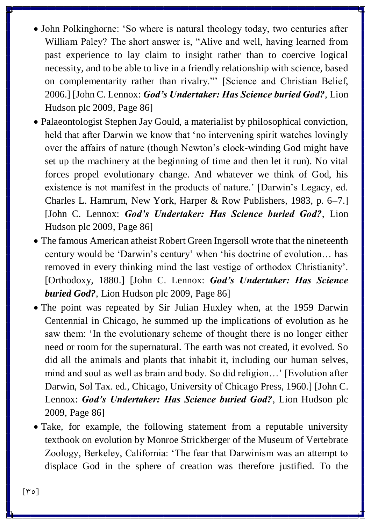- John Polkinghorne: 'So where is natural theology today, two centuries after William Paley? The short answer is, "Alive and well, having learned from past experience to lay claim to insight rather than to coercive logical necessity, and to be able to live in a friendly relationship with science, based on complementarity rather than rivalry."' [Science and Christian Belief, 2006.] [John C. Lennox: *God's Undertaker: Has Science buried God?*, Lion Hudson plc 2009, Page 86]
- Palaeontologist Stephen Jay Gould, a materialist by philosophical conviction, held that after Darwin we know that 'no intervening spirit watches lovingly over the affairs of nature (though Newton's clock-winding God might have set up the machinery at the beginning of time and then let it run). No vital forces propel evolutionary change. And whatever we think of God, his existence is not manifest in the products of nature.' [Darwin's Legacy, ed. Charles L. Hamrum, New York, Harper & Row Publishers, 1983, p. 6–7.] [John C. Lennox: *God's Undertaker: Has Science buried God?*, Lion Hudson plc 2009, Page 86]
- The famous American atheist Robert Green Ingersoll wrote that the nineteenth century would be 'Darwin's century' when 'his doctrine of evolution… has removed in every thinking mind the last vestige of orthodox Christianity'. [Orthodoxy, 1880.] [John C. Lennox: *God's Undertaker: Has Science buried God?*, Lion Hudson plc 2009, Page 86]
- The point was repeated by Sir Julian Huxley when, at the 1959 Darwin Centennial in Chicago, he summed up the implications of evolution as he saw them: 'In the evolutionary scheme of thought there is no longer either need or room for the supernatural. The earth was not created, it evolved. So did all the animals and plants that inhabit it, including our human selves, mind and soul as well as brain and body. So did religion…' [Evolution after Darwin, Sol Tax. ed., Chicago, University of Chicago Press, 1960.] [John C. Lennox: *God's Undertaker: Has Science buried God?*, Lion Hudson plc 2009, Page 86]
- Take, for example, the following statement from a reputable university textbook on evolution by Monroe Strickberger of the Museum of Vertebrate Zoology, Berkeley, California: 'The fear that Darwinism was an attempt to displace God in the sphere of creation was therefore justified. To the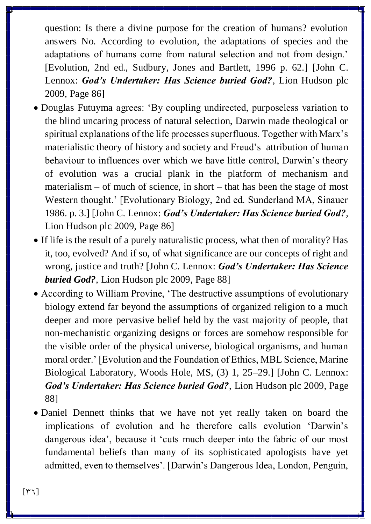question: Is there a divine purpose for the creation of humans? evolution answers No. According to evolution, the adaptations of species and the adaptations of humans come from natural selection and not from design.' [Evolution, 2nd ed., Sudbury, Jones and Bartlett, 1996 p. 62.] [John C. Lennox: *God's Undertaker: Has Science buried God?*, Lion Hudson plc 2009, Page 86]

- Douglas Futuyma agrees: 'By coupling undirected, purposeless variation to the blind uncaring process of natural selection, Darwin made theological or spiritual explanations of the life processes superfluous. Together with Marx's materialistic theory of history and society and Freud's attribution of human behaviour to influences over which we have little control, Darwin's theory of evolution was a crucial plank in the platform of mechanism and materialism – of much of science, in short – that has been the stage of most Western thought.' [Evolutionary Biology, 2nd ed. Sunderland MA, Sinauer 1986. p. 3.] [John C. Lennox: *God's Undertaker: Has Science buried God?*, Lion Hudson plc 2009, Page 86]
- If life is the result of a purely naturalistic process, what then of morality? Has it, too, evolved? And if so, of what significance are our concepts of right and wrong, justice and truth? [John C. Lennox: *God's Undertaker: Has Science buried God?*, Lion Hudson plc 2009, Page 88]
- According to William Provine, 'The destructive assumptions of evolutionary biology extend far beyond the assumptions of organized religion to a much deeper and more pervasive belief held by the vast majority of people, that non-mechanistic organizing designs or forces are somehow responsible for the visible order of the physical universe, biological organisms, and human moral order.' [Evolution and the Foundation of Ethics, MBL Science, Marine Biological Laboratory, Woods Hole, MS, (3) 1, 25–29.] [John C. Lennox: *God's Undertaker: Has Science buried God?*, Lion Hudson plc 2009, Page 88]
- Daniel Dennett thinks that we have not yet really taken on board the implications of evolution and he therefore calls evolution 'Darwin's dangerous idea', because it 'cuts much deeper into the fabric of our most fundamental beliefs than many of its sophisticated apologists have yet admitted, even to themselves'. [Darwin's Dangerous Idea, London, Penguin,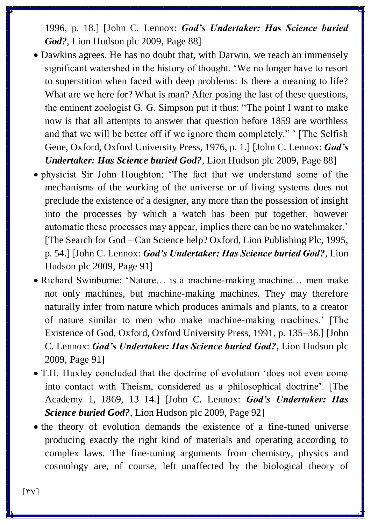1996, p. 18.] [John C. Lennox: *God's Undertaker: Has Science buried God?*, Lion Hudson plc 2009, Page 88]

- Dawkins agrees. He has no doubt that, with Darwin, we reach an immensely significant watershed in the history of thought. 'We no longer have to resort to superstition when faced with deep problems: Is there a meaning to life? What are we here for? What is man? After posing the last of these questions, the eminent zoologist G. G. Simpson put it thus: "The point I want to make now is that all attempts to answer that question before 1859 are worthless and that we will be better off if we ignore them completely." ' [The Selfish Gene, Oxford, Oxford University Press, 1976, p. 1.] [John C. Lennox: *God's Undertaker: Has Science buried God?*, Lion Hudson plc 2009, Page 88]
- physicist Sir John Houghton: 'The fact that we understand some of the mechanisms of the working of the universe or of living systems does not preclude the existence of a designer, any more than the possession of insight into the processes by which a watch has been put together, however automatic these processes may appear, implies there can be no watchmaker.' [The Search for God – Can Science help? Oxford, Lion Publishing Plc, 1995, p. 54.] [John C. Lennox: *God's Undertaker: Has Science buried God?*, Lion Hudson plc 2009, Page 91]
- Richard Swinburne: 'Nature... is a machine-making machine... men make not only machines, but machine-making machines. They may therefore naturally infer from nature which produces animals and plants, to a creator of nature similar to men who make machine-making machines.' [The Existence of God, Oxford, Oxford University Press, 1991, p. 135–36.] [John C. Lennox: *God's Undertaker: Has Science buried God?*, Lion Hudson plc 2009, Page 91]
- T.H. Huxley concluded that the doctrine of evolution 'does not even come into contact with Theism, considered as a philosophical doctrine'. [The Academy 1, 1869, 13–14.] [John C. Lennox: *God's Undertaker: Has Science buried God?*, Lion Hudson plc 2009, Page 92]
- the theory of evolution demands the existence of a fine-tuned universe producing exactly the right kind of materials and operating according to complex laws. The fine-tuning arguments from chemistry, physics and cosmology are, of course, left unaffected by the biological theory of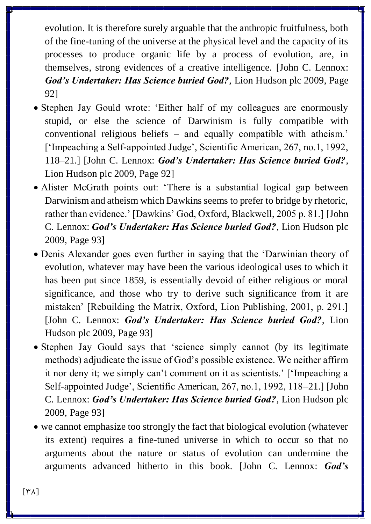evolution. It is therefore surely arguable that the anthropic fruitfulness, both of the fine-tuning of the universe at the physical level and the capacity of its processes to produce organic life by a process of evolution, are, in themselves, strong evidences of a creative intelligence. [John C. Lennox: *God's Undertaker: Has Science buried God?*, Lion Hudson plc 2009, Page 92]

- Stephen Jay Gould wrote: 'Either half of my colleagues are enormously stupid, or else the science of Darwinism is fully compatible with conventional religious beliefs – and equally compatible with atheism.' ['Impeaching a Self-appointed Judge', Scientific American, 267, no.1, 1992, 118–21.] [John C. Lennox: *God's Undertaker: Has Science buried God?*, Lion Hudson plc 2009, Page 92]
- Alister McGrath points out: 'There is a substantial logical gap between Darwinism and atheism which Dawkins seems to prefer to bridge by rhetoric, rather than evidence.' [Dawkins' God, Oxford, Blackwell, 2005 p. 81.] [John C. Lennox: *God's Undertaker: Has Science buried God?*, Lion Hudson plc 2009, Page 93]
- Denis Alexander goes even further in saying that the 'Darwinian theory of evolution, whatever may have been the various ideological uses to which it has been put since 1859, is essentially devoid of either religious or moral significance, and those who try to derive such significance from it are mistaken' [Rebuilding the Matrix, Oxford, Lion Publishing, 2001, p. 291.] [John C. Lennox: *God's Undertaker: Has Science buried God?*, Lion Hudson plc 2009, Page 93]
- Stephen Jay Gould says that 'science simply cannot (by its legitimate methods) adjudicate the issue of God's possible existence. We neither affirm it nor deny it; we simply can't comment on it as scientists.' ['Impeaching a Self-appointed Judge', Scientific American, 267, no.1, 1992, 118–21.] [John C. Lennox: *God's Undertaker: Has Science buried God?*, Lion Hudson plc 2009, Page 93]
- we cannot emphasize too strongly the fact that biological evolution (whatever its extent) requires a fine-tuned universe in which to occur so that no arguments about the nature or status of evolution can undermine the arguments advanced hitherto in this book. [John C. Lennox: *God's*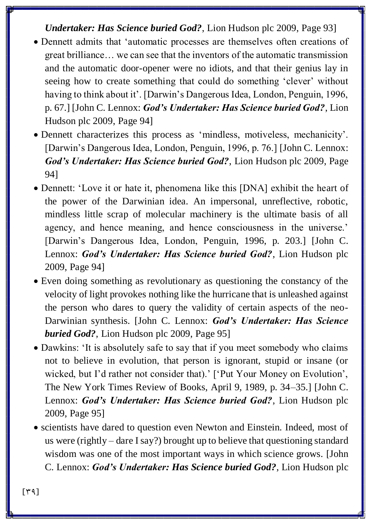*Undertaker: Has Science buried God?*, Lion Hudson plc 2009, Page 93] Dennett admits that 'automatic processes are themselves often creations of great brilliance… we can see that the inventors of the automatic transmission and the automatic door-opener were no idiots, and that their genius lay in seeing how to create something that could do something 'clever' without having to think about it'. [Darwin's Dangerous Idea, London, Penguin, 1996, p. 67.] [John C. Lennox: *God's Undertaker: Has Science buried God?*, Lion Hudson plc 2009, Page 94]

- Dennett characterizes this process as 'mindless, motiveless, mechanicity'. [Darwin's Dangerous Idea, London, Penguin, 1996, p. 76.] [John C. Lennox: *God's Undertaker: Has Science buried God?*, Lion Hudson plc 2009, Page 94]
- Dennett: 'Love it or hate it, phenomena like this [DNA] exhibit the heart of the power of the Darwinian idea. An impersonal, unreflective, robotic, mindless little scrap of molecular machinery is the ultimate basis of all agency, and hence meaning, and hence consciousness in the universe.' [Darwin's Dangerous Idea, London, Penguin, 1996, p. 203.] [John C. Lennox: *God's Undertaker: Has Science buried God?*, Lion Hudson plc 2009, Page 94]
- Even doing something as revolutionary as questioning the constancy of the velocity of light provokes nothing like the hurricane that is unleashed against the person who dares to query the validity of certain aspects of the neo-Darwinian synthesis. [John C. Lennox: *God's Undertaker: Has Science buried God?*, Lion Hudson plc 2009, Page 95]
- Dawkins: 'It is absolutely safe to say that if you meet somebody who claims not to believe in evolution, that person is ignorant, stupid or insane (or wicked, but I'd rather not consider that).' ['Put Your Money on Evolution', The New York Times Review of Books, April 9, 1989, p. 34–35.] [John C. Lennox: *God's Undertaker: Has Science buried God?*, Lion Hudson plc 2009, Page 95]
- scientists have dared to question even Newton and Einstein. Indeed, most of us were (rightly – dare I say?) brought up to believe that questioning standard wisdom was one of the most important ways in which science grows. [John C. Lennox: *God's Undertaker: Has Science buried God?*, Lion Hudson plc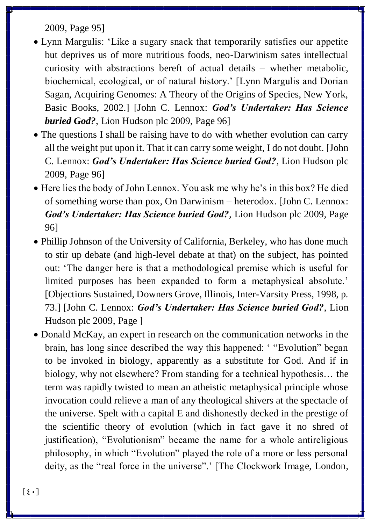2009, Page 95]

- Lynn Margulis: 'Like a sugary snack that temporarily satisfies our appetite but deprives us of more nutritious foods, neo-Darwinism sates intellectual curiosity with abstractions bereft of actual details – whether metabolic, biochemical, ecological, or of natural history.' [Lynn Margulis and Dorian Sagan, Acquiring Genomes: A Theory of the Origins of Species, New York, Basic Books, 2002.] [John C. Lennox: *God's Undertaker: Has Science buried God?*, Lion Hudson plc 2009, Page 96]
- The questions I shall be raising have to do with whether evolution can carry all the weight put upon it. That it can carry some weight, I do not doubt. [John C. Lennox: *God's Undertaker: Has Science buried God?*, Lion Hudson plc 2009, Page 96]
- Here lies the body of John Lennox. You ask me why he's in this box? He died of something worse than pox, On Darwinism – heterodox. [John C. Lennox: *God's Undertaker: Has Science buried God?*, Lion Hudson plc 2009, Page 96]
- Phillip Johnson of the University of California, Berkeley, who has done much to stir up debate (and high-level debate at that) on the subject, has pointed out: 'The danger here is that a methodological premise which is useful for limited purposes has been expanded to form a metaphysical absolute.' [Objections Sustained, Downers Grove, Illinois, Inter-Varsity Press, 1998, p. 73.] [John C. Lennox: *God's Undertaker: Has Science buried God?*, Lion Hudson plc 2009, Page ]
- Donald McKay, an expert in research on the communication networks in the brain, has long since described the way this happened: ' "Evolution" began to be invoked in biology, apparently as a substitute for God. And if in biology, why not elsewhere? From standing for a technical hypothesis… the term was rapidly twisted to mean an atheistic metaphysical principle whose invocation could relieve a man of any theological shivers at the spectacle of the universe. Spelt with a capital E and dishonestly decked in the prestige of the scientific theory of evolution (which in fact gave it no shred of justification), "Evolutionism" became the name for a whole antireligious philosophy, in which "Evolution" played the role of a more or less personal deity, as the "real force in the universe".' [The Clockwork Image, London,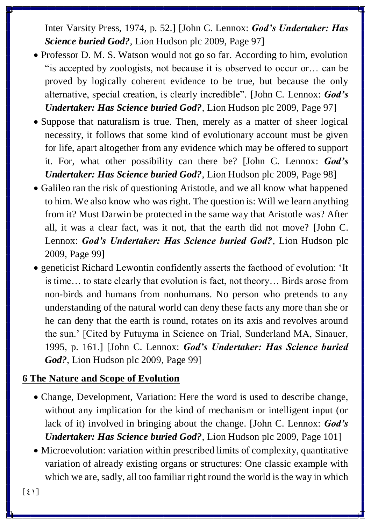Inter Varsity Press, 1974, p. 52.] [John C. Lennox: *God's Undertaker: Has Science buried God?*, Lion Hudson plc 2009, Page 97]

- Professor D. M. S. Watson would not go so far. According to him, evolution "is accepted by zoologists, not because it is observed to occur or… can be proved by logically coherent evidence to be true, but because the only alternative, special creation, is clearly incredible". [John C. Lennox: *God's Undertaker: Has Science buried God?*, Lion Hudson plc 2009, Page 97]
- Suppose that naturalism is true. Then, merely as a matter of sheer logical necessity, it follows that some kind of evolutionary account must be given for life, apart altogether from any evidence which may be offered to support it. For, what other possibility can there be? [John C. Lennox: *God's Undertaker: Has Science buried God?*, Lion Hudson plc 2009, Page 98]
- Galileo ran the risk of questioning Aristotle, and we all know what happened to him. We also know who was right. The question is: Will we learn anything from it? Must Darwin be protected in the same way that Aristotle was? After all, it was a clear fact, was it not, that the earth did not move? [John C. Lennox: *God's Undertaker: Has Science buried God?*, Lion Hudson plc 2009, Page 99]
- geneticist Richard Lewontin confidently asserts the facthood of evolution: 'It is time… to state clearly that evolution is fact, not theory… Birds arose from non-birds and humans from nonhumans. No person who pretends to any understanding of the natural world can deny these facts any more than she or he can deny that the earth is round, rotates on its axis and revolves around the sun.' [Cited by Futuyma in Science on Trial, Sunderland MA, Sinauer, 1995, p. 161.] [John C. Lennox: *God's Undertaker: Has Science buried God?*, Lion Hudson plc 2009, Page 99]

#### **6 The Nature and Scope of Evolution**

- Change, Development, Variation: Here the word is used to describe change, without any implication for the kind of mechanism or intelligent input (or lack of it) involved in bringing about the change. [John C. Lennox: *God's Undertaker: Has Science buried God?*, Lion Hudson plc 2009, Page 101]
- Microevolution: variation within prescribed limits of complexity, quantitative variation of already existing organs or structures: One classic example with which we are, sadly, all too familiar right round the world is the way in which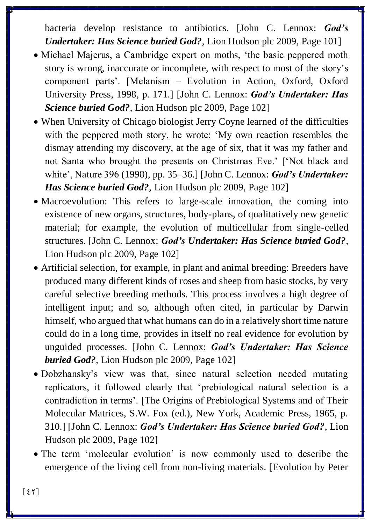bacteria develop resistance to antibiotics. [John C. Lennox: *God's Undertaker: Has Science buried God?*, Lion Hudson plc 2009, Page 101]

- Michael Majerus, a Cambridge expert on moths, 'the basic peppered moth story is wrong, inaccurate or incomplete, with respect to most of the story's component parts'. [Melanism – Evolution in Action, Oxford, Oxford University Press, 1998, p. 171.] [John C. Lennox: *God's Undertaker: Has Science buried God?*, Lion Hudson plc 2009, Page 102]
- When University of Chicago biologist Jerry Coyne learned of the difficulties with the peppered moth story, he wrote: 'My own reaction resembles the dismay attending my discovery, at the age of six, that it was my father and not Santa who brought the presents on Christmas Eve.' ['Not black and white', Nature 396 (1998), pp. 35–36.] [John C. Lennox: *God's Undertaker: Has Science buried God?*, Lion Hudson plc 2009, Page 102]
- Macroevolution: This refers to large-scale innovation, the coming into existence of new organs, structures, body-plans, of qualitatively new genetic material; for example, the evolution of multicellular from single-celled structures. [John C. Lennox: *God's Undertaker: Has Science buried God?*, Lion Hudson plc 2009, Page 102]
- Artificial selection, for example, in plant and animal breeding: Breeders have produced many different kinds of roses and sheep from basic stocks, by very careful selective breeding methods. This process involves a high degree of intelligent input; and so, although often cited, in particular by Darwin himself, who argued that what humans can do in a relatively short time nature could do in a long time, provides in itself no real evidence for evolution by unguided processes. [John C. Lennox: *God's Undertaker: Has Science buried God?*, Lion Hudson plc 2009, Page 102]
- Dobzhansky's view was that, since natural selection needed mutating replicators, it followed clearly that 'prebiological natural selection is a contradiction in terms'. [The Origins of Prebiological Systems and of Their Molecular Matrices, S.W. Fox (ed.), New York, Academic Press, 1965, p. 310.] [John C. Lennox: *God's Undertaker: Has Science buried God?*, Lion Hudson plc 2009, Page 102]
- The term 'molecular evolution' is now commonly used to describe the emergence of the living cell from non-living materials. [Evolution by Peter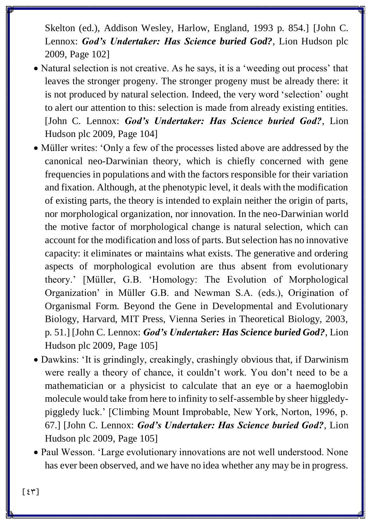Skelton (ed.), Addison Wesley, Harlow, England, 1993 p. 854.] [John C. Lennox: *God's Undertaker: Has Science buried God?*, Lion Hudson plc 2009, Page 102]

- Natural selection is not creative. As he says, it is a 'weeding out process' that leaves the stronger progeny. The stronger progeny must be already there: it is not produced by natural selection. Indeed, the very word 'selection' ought to alert our attention to this: selection is made from already existing entities. [John C. Lennox: *God's Undertaker: Has Science buried God?*, Lion Hudson plc 2009, Page 104]
- Müller writes: 'Only a few of the processes listed above are addressed by the canonical neo-Darwinian theory, which is chiefly concerned with gene frequencies in populations and with the factors responsible for their variation and fixation. Although, at the phenotypic level, it deals with the modification of existing parts, the theory is intended to explain neither the origin of parts, nor morphological organization, nor innovation. In the neo-Darwinian world the motive factor of morphological change is natural selection, which can account for the modification and loss of parts. But selection has no innovative capacity: it eliminates or maintains what exists. The generative and ordering aspects of morphological evolution are thus absent from evolutionary theory.' [Müller, G.B. 'Homology: The Evolution of Morphological Organization' in Müller G.B. and Newman S.A. (eds.), Origination of Organismal Form. Beyond the Gene in Developmental and Evolutionary Biology, Harvard, MIT Press, Vienna Series in Theoretical Biology, 2003, p. 51.] [John C. Lennox: *God's Undertaker: Has Science buried God?*, Lion Hudson plc 2009, Page 105]
- Dawkins: 'It is grindingly, creakingly, crashingly obvious that, if Darwinism were really a theory of chance, it couldn't work. You don't need to be a mathematician or a physicist to calculate that an eye or a haemoglobin molecule would take from here to infinity to self-assemble by sheer higgledypiggledy luck.' [Climbing Mount Improbable, New York, Norton, 1996, p. 67.] [John C. Lennox: *God's Undertaker: Has Science buried God?*, Lion Hudson plc 2009, Page 105]
- Paul Wesson. 'Large evolutionary innovations are not well understood. None has ever been observed, and we have no idea whether any may be in progress.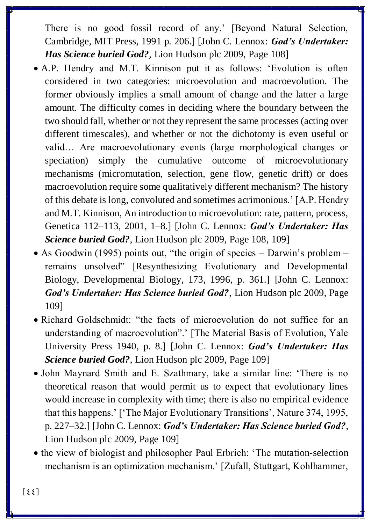There is no good fossil record of any.' [Beyond Natural Selection, Cambridge, MIT Press, 1991 p. 206.] [John C. Lennox: *God's Undertaker: Has Science buried God?*, Lion Hudson plc 2009, Page 108]

- A.P. Hendry and M.T. Kinnison put it as follows: 'Evolution is often considered in two categories: microevolution and macroevolution. The former obviously implies a small amount of change and the latter a large amount. The difficulty comes in deciding where the boundary between the two should fall, whether or not they represent the same processes (acting over different timescales), and whether or not the dichotomy is even useful or valid… Are macroevolutionary events (large morphological changes or speciation) simply the cumulative outcome of microevolutionary mechanisms (micromutation, selection, gene flow, genetic drift) or does macroevolution require some qualitatively different mechanism? The history of this debate is long, convoluted and sometimes acrimonious.' [A.P. Hendry and M.T. Kinnison, An introduction to microevolution: rate, pattern, process, Genetica 112–113, 2001, 1–8.] [John C. Lennox: *God's Undertaker: Has Science buried God?*, Lion Hudson plc 2009, Page 108, 109]
- As Goodwin (1995) points out, "the origin of species Darwin's problem remains unsolved" [Resynthesizing Evolutionary and Developmental Biology, Developmental Biology, 173, 1996, p. 361.] [John C. Lennox: *God's Undertaker: Has Science buried God?*, Lion Hudson plc 2009, Page 109]
- Richard Goldschmidt: "the facts of microevolution do not suffice for an understanding of macroevolution".' [The Material Basis of Evolution, Yale University Press 1940, p. 8.] [John C. Lennox: *God's Undertaker: Has Science buried God?*, Lion Hudson plc 2009, Page 109]
- John Maynard Smith and E. Szathmary, take a similar line: 'There is no theoretical reason that would permit us to expect that evolutionary lines would increase in complexity with time; there is also no empirical evidence that this happens.' ['The Major Evolutionary Transitions', Nature 374, 1995, p. 227–32.] [John C. Lennox: *God's Undertaker: Has Science buried God?*, Lion Hudson plc 2009, Page 109]
- the view of biologist and philosopher Paul Erbrich: 'The mutation-selection mechanism is an optimization mechanism.' [Zufall, Stuttgart, Kohlhammer,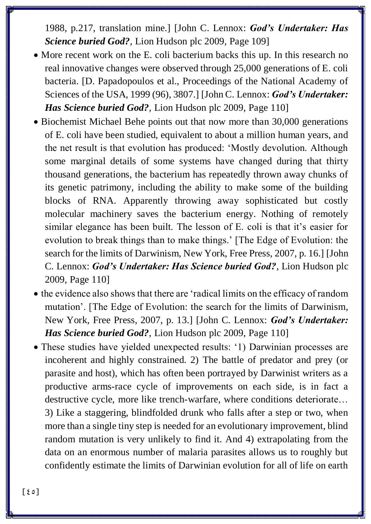1988, p.217, translation mine.] [John C. Lennox: *God's Undertaker: Has Science buried God?*, Lion Hudson plc 2009, Page 109]

- More recent work on the E. coli bacterium backs this up. In this research no real innovative changes were observed through 25,000 generations of E. coli bacteria. [D. Papadopoulos et al., Proceedings of the National Academy of Sciences of the USA, 1999 (96), 3807.] [John C. Lennox: *God's Undertaker: Has Science buried God?*, Lion Hudson plc 2009, Page 110]
- Biochemist Michael Behe points out that now more than 30,000 generations of E. coli have been studied, equivalent to about a million human years, and the net result is that evolution has produced: 'Mostly devolution. Although some marginal details of some systems have changed during that thirty thousand generations, the bacterium has repeatedly thrown away chunks of its genetic patrimony, including the ability to make some of the building blocks of RNA. Apparently throwing away sophisticated but costly molecular machinery saves the bacterium energy. Nothing of remotely similar elegance has been built. The lesson of E. coli is that it's easier for evolution to break things than to make things.' [The Edge of Evolution: the search for the limits of Darwinism, New York, Free Press, 2007, p. 16.] [John C. Lennox: *God's Undertaker: Has Science buried God?*, Lion Hudson plc 2009, Page 110]
- the evidence also shows that there are 'radical limits on the efficacy of random mutation'. [The Edge of Evolution: the search for the limits of Darwinism, New York, Free Press, 2007, p. 13.] [John C. Lennox: *God's Undertaker: Has Science buried God?*, Lion Hudson plc 2009, Page 110]
- These studies have yielded unexpected results: '1) Darwinian processes are incoherent and highly constrained. 2) The battle of predator and prey (or parasite and host), which has often been portrayed by Darwinist writers as a productive arms-race cycle of improvements on each side, is in fact a destructive cycle, more like trench-warfare, where conditions deteriorate… 3) Like a staggering, blindfolded drunk who falls after a step or two, when more than a single tiny step is needed for an evolutionary improvement, blind random mutation is very unlikely to find it. And 4) extrapolating from the data on an enormous number of malaria parasites allows us to roughly but confidently estimate the limits of Darwinian evolution for all of life on earth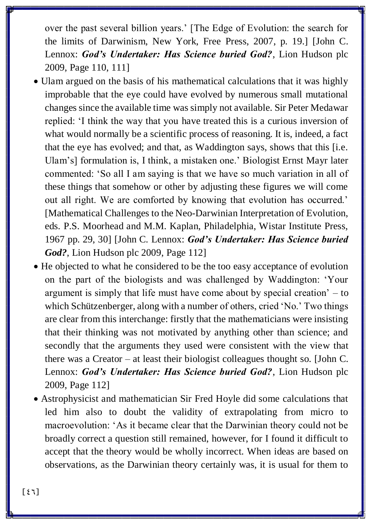over the past several billion years.' [The Edge of Evolution: the search for the limits of Darwinism, New York, Free Press, 2007, p. 19.] [John C. Lennox: *God's Undertaker: Has Science buried God?*, Lion Hudson plc 2009, Page 110, 111]

- Ulam argued on the basis of his mathematical calculations that it was highly improbable that the eye could have evolved by numerous small mutational changes since the available time was simply not available. Sir Peter Medawar replied: 'I think the way that you have treated this is a curious inversion of what would normally be a scientific process of reasoning. It is, indeed, a fact that the eye has evolved; and that, as Waddington says, shows that this [i.e. Ulam's] formulation is, I think, a mistaken one.' Biologist Ernst Mayr later commented: 'So all I am saying is that we have so much variation in all of these things that somehow or other by adjusting these figures we will come out all right. We are comforted by knowing that evolution has occurred.' [Mathematical Challenges to the Neo-Darwinian Interpretation of Evolution, eds. P.S. Moorhead and M.M. Kaplan, Philadelphia, Wistar Institute Press, 1967 pp. 29, 30] [John C. Lennox: *God's Undertaker: Has Science buried God?*, Lion Hudson plc 2009, Page 112]
- He objected to what he considered to be the too easy acceptance of evolution on the part of the biologists and was challenged by Waddington: 'Your argument is simply that life must have come about by special creation' – to which Schützenberger, along with a number of others, cried 'No.' Two things are clear from this interchange: firstly that the mathematicians were insisting that their thinking was not motivated by anything other than science; and secondly that the arguments they used were consistent with the view that there was a Creator – at least their biologist colleagues thought so. [John C. Lennox: *God's Undertaker: Has Science buried God?*, Lion Hudson plc 2009, Page 112]
- Astrophysicist and mathematician Sir Fred Hoyle did some calculations that led him also to doubt the validity of extrapolating from micro to macroevolution: 'As it became clear that the Darwinian theory could not be broadly correct a question still remained, however, for I found it difficult to accept that the theory would be wholly incorrect. When ideas are based on observations, as the Darwinian theory certainly was, it is usual for them to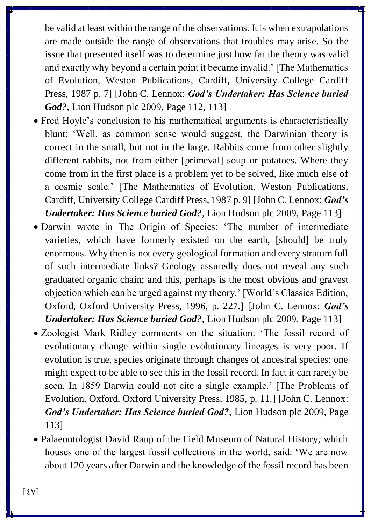be valid at least within the range of the observations. It is when extrapolations are made outside the range of observations that troubles may arise. So the issue that presented itself was to determine just how far the theory was valid and exactly why beyond a certain point it became invalid.' [The Mathematics of Evolution, Weston Publications, Cardiff, University College Cardiff Press, 1987 p. 7] [John C. Lennox: *God's Undertaker: Has Science buried God?*, Lion Hudson plc 2009, Page 112, 113]

- Fred Hoyle's conclusion to his mathematical arguments is characteristically blunt: 'Well, as common sense would suggest, the Darwinian theory is correct in the small, but not in the large. Rabbits come from other slightly different rabbits, not from either [primeval] soup or potatoes. Where they come from in the first place is a problem yet to be solved, like much else of a cosmic scale.' [The Mathematics of Evolution, Weston Publications, Cardiff, University College Cardiff Press, 1987 p. 9] [John C. Lennox: *God's Undertaker: Has Science buried God?*, Lion Hudson plc 2009, Page 113]
- Darwin wrote in The Origin of Species: 'The number of intermediate varieties, which have formerly existed on the earth, [should] be truly enormous. Why then is not every geological formation and every stratum full of such intermediate links? Geology assuredly does not reveal any such graduated organic chain; and this, perhaps is the most obvious and gravest objection which can be urged against my theory.' [World's Classics Edition, Oxford, Oxford University Press, 1996, p. 227.] [John C. Lennox: *God's Undertaker: Has Science buried God?*, Lion Hudson plc 2009, Page 113]
- Zoologist Mark Ridley comments on the situation: 'The fossil record of evolutionary change within single evolutionary lineages is very poor. If evolution is true, species originate through changes of ancestral species: one might expect to be able to see this in the fossil record. In fact it can rarely be seen. In 1859 Darwin could not cite a single example.' [The Problems of Evolution, Oxford, Oxford University Press, 1985, p. 11.] [John C. Lennox: *God's Undertaker: Has Science buried God?*, Lion Hudson plc 2009, Page 113]
- Palaeontologist David Raup of the Field Museum of Natural History, which houses one of the largest fossil collections in the world, said: 'We are now about 120 years after Darwin and the knowledge of the fossil record has been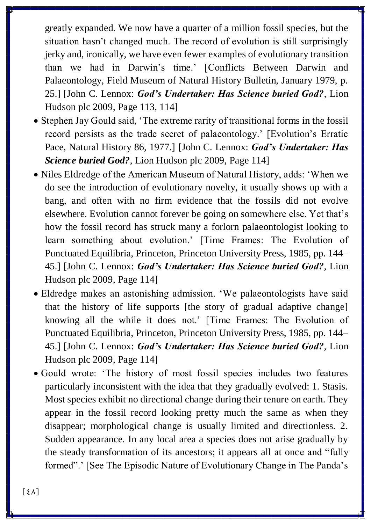greatly expanded. We now have a quarter of a million fossil species, but the situation hasn't changed much. The record of evolution is still surprisingly jerky and, ironically, we have even fewer examples of evolutionary transition than we had in Darwin's time.' [Conflicts Between Darwin and Palaeontology, Field Museum of Natural History Bulletin, January 1979, p. 25.] [John C. Lennox: *God's Undertaker: Has Science buried God?*, Lion Hudson plc 2009, Page 113, 114]

- Stephen Jay Gould said, 'The extreme rarity of transitional forms in the fossil record persists as the trade secret of palaeontology.' [Evolution's Erratic Pace, Natural History 86, 1977.] [John C. Lennox: *God's Undertaker: Has Science buried God?*, Lion Hudson plc 2009, Page 114]
- Niles Eldredge of the American Museum of Natural History, adds: 'When we do see the introduction of evolutionary novelty, it usually shows up with a bang, and often with no firm evidence that the fossils did not evolve elsewhere. Evolution cannot forever be going on somewhere else. Yet that's how the fossil record has struck many a forlorn palaeontologist looking to learn something about evolution.' [Time Frames: The Evolution of Punctuated Equilibria, Princeton, Princeton University Press, 1985, pp. 144– 45.] [John C. Lennox: *God's Undertaker: Has Science buried God?*, Lion Hudson plc 2009, Page 114]
- Eldredge makes an astonishing admission. 'We palaeontologists have said that the history of life supports [the story of gradual adaptive change] knowing all the while it does not.' [Time Frames: The Evolution of Punctuated Equilibria, Princeton, Princeton University Press, 1985, pp. 144– 45.] [John C. Lennox: *God's Undertaker: Has Science buried God?*, Lion Hudson plc 2009, Page 114]
- Gould wrote: 'The history of most fossil species includes two features particularly inconsistent with the idea that they gradually evolved: 1. Stasis. Most species exhibit no directional change during their tenure on earth. They appear in the fossil record looking pretty much the same as when they disappear; morphological change is usually limited and directionless. 2. Sudden appearance. In any local area a species does not arise gradually by the steady transformation of its ancestors; it appears all at once and "fully formed".' [See The Episodic Nature of Evolutionary Change in The Panda's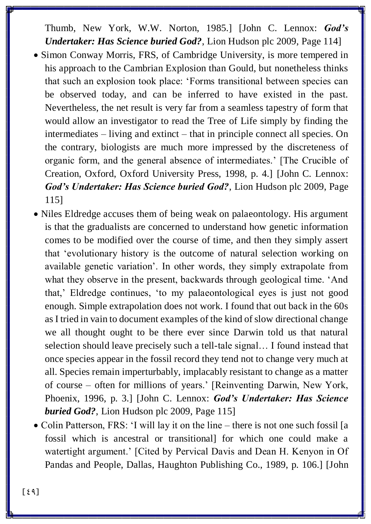Thumb, New York, W.W. Norton, 1985.] [John C. Lennox: *God's Undertaker: Has Science buried God?*, Lion Hudson plc 2009, Page 114]

- Simon Conway Morris, FRS, of Cambridge University, is more tempered in his approach to the Cambrian Explosion than Gould, but nonetheless thinks that such an explosion took place: 'Forms transitional between species can be observed today, and can be inferred to have existed in the past. Nevertheless, the net result is very far from a seamless tapestry of form that would allow an investigator to read the Tree of Life simply by finding the intermediates – living and extinct – that in principle connect all species. On the contrary, biologists are much more impressed by the discreteness of organic form, and the general absence of intermediates.' [The Crucible of Creation, Oxford, Oxford University Press, 1998, p. 4.] [John C. Lennox: *God's Undertaker: Has Science buried God?*, Lion Hudson plc 2009, Page 115]
- Niles Eldredge accuses them of being weak on palaeontology. His argument is that the gradualists are concerned to understand how genetic information comes to be modified over the course of time, and then they simply assert that 'evolutionary history is the outcome of natural selection working on available genetic variation'. In other words, they simply extrapolate from what they observe in the present, backwards through geological time. 'And that,' Eldredge continues, 'to my palaeontological eyes is just not good enough. Simple extrapolation does not work. I found that out back in the 60s as I tried in vain to document examples of the kind of slow directional change we all thought ought to be there ever since Darwin told us that natural selection should leave precisely such a tell-tale signal… I found instead that once species appear in the fossil record they tend not to change very much at all. Species remain imperturbably, implacably resistant to change as a matter of course – often for millions of years.' [Reinventing Darwin, New York, Phoenix, 1996, p. 3.] [John C. Lennox: *God's Undertaker: Has Science buried God?*, Lion Hudson plc 2009, Page 115]
- Colin Patterson, FRS: 'I will lay it on the line there is not one such fossil [a] fossil which is ancestral or transitional] for which one could make a watertight argument.' [Cited by Pervical Davis and Dean H. Kenyon in Of Pandas and People, Dallas, Haughton Publishing Co., 1989, p. 106.] [John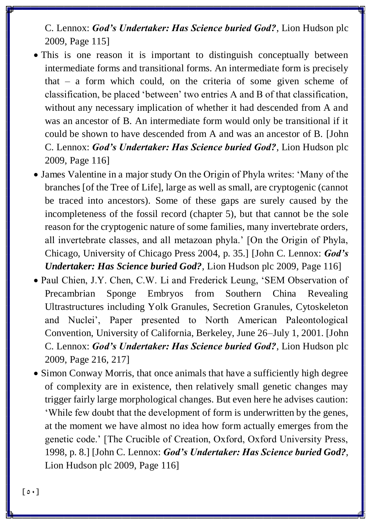C. Lennox: *God's Undertaker: Has Science buried God?*, Lion Hudson plc 2009, Page 115]

- This is one reason it is important to distinguish conceptually between intermediate forms and transitional forms. An intermediate form is precisely that – a form which could, on the criteria of some given scheme of classification, be placed 'between' two entries A and B of that classification, without any necessary implication of whether it had descended from A and was an ancestor of B. An intermediate form would only be transitional if it could be shown to have descended from A and was an ancestor of B. [John C. Lennox: *God's Undertaker: Has Science buried God?*, Lion Hudson plc 2009, Page 116]
- James Valentine in a major study On the Origin of Phyla writes: 'Many of the branches [of the Tree of Life], large as well as small, are cryptogenic (cannot be traced into ancestors). Some of these gaps are surely caused by the incompleteness of the fossil record (chapter 5), but that cannot be the sole reason for the cryptogenic nature of some families, many invertebrate orders, all invertebrate classes, and all metazoan phyla.' [On the Origin of Phyla, Chicago, University of Chicago Press 2004, p. 35.] [John C. Lennox: *God's Undertaker: Has Science buried God?*, Lion Hudson plc 2009, Page 116]
- Paul Chien, J.Y. Chen, C.W. Li and Frederick Leung, 'SEM Observation of Precambrian Sponge Embryos from Southern China Revealing Ultrastructures including Yolk Granules, Secretion Granules, Cytoskeleton and Nuclei', Paper presented to North American Paleontological Convention, University of California, Berkeley, June 26–July 1, 2001. [John C. Lennox: *God's Undertaker: Has Science buried God?*, Lion Hudson plc 2009, Page 216, 217]
- Simon Conway Morris, that once animals that have a sufficiently high degree of complexity are in existence, then relatively small genetic changes may trigger fairly large morphological changes. But even here he advises caution: 'While few doubt that the development of form is underwritten by the genes, at the moment we have almost no idea how form actually emerges from the genetic code.' [The Crucible of Creation, Oxford, Oxford University Press, 1998, p. 8.] [John C. Lennox: *God's Undertaker: Has Science buried God?*, Lion Hudson plc 2009, Page 116]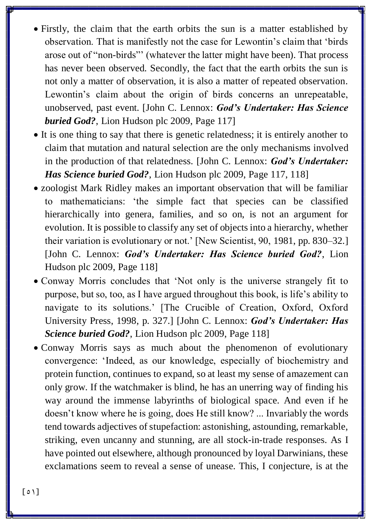- Firstly, the claim that the earth orbits the sun is a matter established by observation. That is manifestly not the case for Lewontin's claim that 'birds arose out of "non-birds"' (whatever the latter might have been). That process has never been observed. Secondly, the fact that the earth orbits the sun is not only a matter of observation, it is also a matter of repeated observation. Lewontin's claim about the origin of birds concerns an unrepeatable, unobserved, past event. [John C. Lennox: *God's Undertaker: Has Science buried God?*, Lion Hudson plc 2009, Page 117]
- It is one thing to say that there is genetic relatedness; it is entirely another to claim that mutation and natural selection are the only mechanisms involved in the production of that relatedness. [John C. Lennox: *God's Undertaker: Has Science buried God?*, Lion Hudson plc 2009, Page 117, 118]
- zoologist Mark Ridley makes an important observation that will be familiar to mathematicians: 'the simple fact that species can be classified hierarchically into genera, families, and so on, is not an argument for evolution. It is possible to classify any set of objects into a hierarchy, whether their variation is evolutionary or not.' [New Scientist, 90, 1981, pp. 830–32.] [John C. Lennox: *God's Undertaker: Has Science buried God?*, Lion Hudson plc 2009, Page 118]
- Conway Morris concludes that 'Not only is the universe strangely fit to purpose, but so, too, as I have argued throughout this book, is life's ability to navigate to its solutions.' [The Crucible of Creation, Oxford, Oxford University Press, 1998, p. 327.] [John C. Lennox: *God's Undertaker: Has Science buried God?*, Lion Hudson plc 2009, Page 118]
- Conway Morris says as much about the phenomenon of evolutionary convergence: 'Indeed, as our knowledge, especially of biochemistry and protein function, continues to expand, so at least my sense of amazement can only grow. If the watchmaker is blind, he has an unerring way of finding his way around the immense labyrinths of biological space. And even if he doesn't know where he is going, does He still know? ... Invariably the words tend towards adjectives of stupefaction: astonishing, astounding, remarkable, striking, even uncanny and stunning, are all stock-in-trade responses. As I have pointed out elsewhere, although pronounced by loyal Darwinians, these exclamations seem to reveal a sense of unease. This, I conjecture, is at the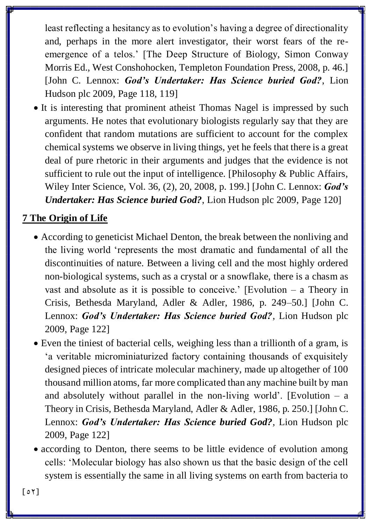least reflecting a hesitancy as to evolution's having a degree of directionality and, perhaps in the more alert investigator, their worst fears of the reemergence of a telos.' [The Deep Structure of Biology, Simon Conway Morris Ed., West Conshohocken, Templeton Foundation Press, 2008, p. 46.] [John C. Lennox: *God's Undertaker: Has Science buried God?*, Lion Hudson plc 2009, Page 118, 119]

• It is interesting that prominent atheist Thomas Nagel is impressed by such arguments. He notes that evolutionary biologists regularly say that they are confident that random mutations are sufficient to account for the complex chemical systems we observe in living things, yet he feels that there is a great deal of pure rhetoric in their arguments and judges that the evidence is not sufficient to rule out the input of intelligence. [Philosophy & Public Affairs, Wiley Inter Science, Vol. 36, (2), 20, 2008, p. 199.] [John C. Lennox: *God's Undertaker: Has Science buried God?*, Lion Hudson plc 2009, Page 120]

# **7 The Origin of Life**

- According to geneticist Michael Denton, the break between the nonliving and the living world 'represents the most dramatic and fundamental of all the discontinuities of nature. Between a living cell and the most highly ordered non-biological systems, such as a crystal or a snowflake, there is a chasm as vast and absolute as it is possible to conceive.' [Evolution  $-$  a Theory in Crisis, Bethesda Maryland, Adler & Adler, 1986, p. 249–50.] [John C. Lennox: *God's Undertaker: Has Science buried God?*, Lion Hudson plc 2009, Page 122]
- Even the tiniest of bacterial cells, weighing less than a trillionth of a gram, is 'a veritable microminiaturized factory containing thousands of exquisitely designed pieces of intricate molecular machinery, made up altogether of 100 thousand million atoms, far more complicated than any machine built by man and absolutely without parallel in the non-living world'. [Evolution  $-$  a Theory in Crisis, Bethesda Maryland, Adler & Adler, 1986, p. 250.] [John C. Lennox: *God's Undertaker: Has Science buried God?*, Lion Hudson plc 2009, Page 122]
- according to Denton, there seems to be little evidence of evolution among cells: 'Molecular biology has also shown us that the basic design of the cell system is essentially the same in all living systems on earth from bacteria to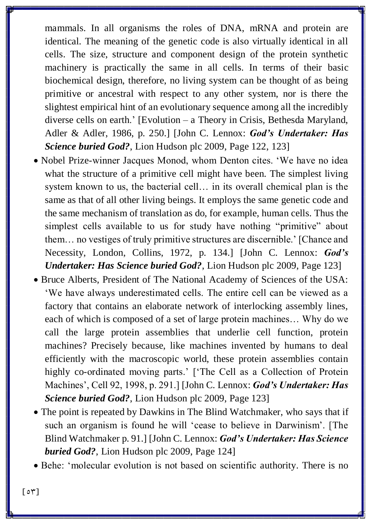mammals. In all organisms the roles of DNA, mRNA and protein are identical. The meaning of the genetic code is also virtually identical in all cells. The size, structure and component design of the protein synthetic machinery is practically the same in all cells. In terms of their basic biochemical design, therefore, no living system can be thought of as being primitive or ancestral with respect to any other system, nor is there the slightest empirical hint of an evolutionary sequence among all the incredibly diverse cells on earth.' [Evolution – a Theory in Crisis, Bethesda Maryland, Adler & Adler, 1986, p. 250.] [John C. Lennox: *God's Undertaker: Has Science buried God?*, Lion Hudson plc 2009, Page 122, 123]

- Nobel Prize-winner Jacques Monod, whom Denton cites. 'We have no idea what the structure of a primitive cell might have been. The simplest living system known to us, the bacterial cell… in its overall chemical plan is the same as that of all other living beings. It employs the same genetic code and the same mechanism of translation as do, for example, human cells. Thus the simplest cells available to us for study have nothing "primitive" about them… no vestiges of truly primitive structures are discernible.' [Chance and Necessity, London, Collins, 1972, p. 134.] [John C. Lennox: *God's Undertaker: Has Science buried God?*, Lion Hudson plc 2009, Page 123]
- Bruce Alberts, President of The National Academy of Sciences of the USA: 'We have always underestimated cells. The entire cell can be viewed as a factory that contains an elaborate network of interlocking assembly lines, each of which is composed of a set of large protein machines… Why do we call the large protein assemblies that underlie cell function, protein machines? Precisely because, like machines invented by humans to deal efficiently with the macroscopic world, these protein assemblies contain highly co-ordinated moving parts.' ['The Cell as a Collection of Protein Machines', Cell 92, 1998, p. 291.] [John C. Lennox: *God's Undertaker: Has Science buried God?*, Lion Hudson plc 2009, Page 123]
- The point is repeated by Dawkins in The Blind Watchmaker, who says that if such an organism is found he will 'cease to believe in Darwinism'. [The Blind Watchmaker p. 91.] [John C. Lennox: *God's Undertaker: Has Science buried God?*, Lion Hudson plc 2009, Page 124]

• Behe: 'molecular evolution is not based on scientific authority. There is no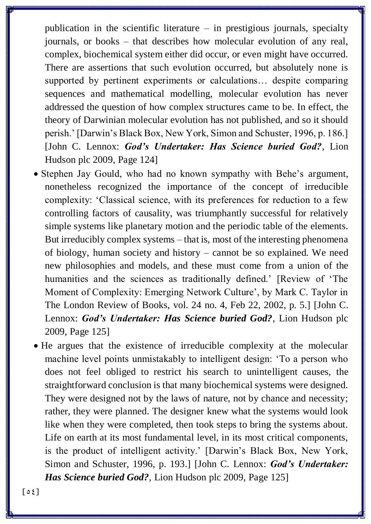publication in the scientific literature – in prestigious journals, specialty journals, or books – that describes how molecular evolution of any real, complex, biochemical system either did occur, or even might have occurred. There are assertions that such evolution occurred, but absolutely none is supported by pertinent experiments or calculations… despite comparing sequences and mathematical modelling, molecular evolution has never addressed the question of how complex structures came to be. In effect, the theory of Darwinian molecular evolution has not published, and so it should perish.' [Darwin's Black Box, New York, Simon and Schuster, 1996, p. 186.] [John C. Lennox: *God's Undertaker: Has Science buried God?*, Lion Hudson plc 2009, Page 124]

- Stephen Jay Gould, who had no known sympathy with Behe's argument, nonetheless recognized the importance of the concept of irreducible complexity: 'Classical science, with its preferences for reduction to a few controlling factors of causality, was triumphantly successful for relatively simple systems like planetary motion and the periodic table of the elements. But irreducibly complex systems – that is, most of the interesting phenomena of biology, human society and history – cannot be so explained. We need new philosophies and models, and these must come from a union of the humanities and the sciences as traditionally defined.' [Review of 'The Moment of Complexity: Emerging Network Culture', by Mark C. Taylor in The London Review of Books, vol. 24 no. 4, Feb 22, 2002, p. 5.] [John C. Lennox: *God's Undertaker: Has Science buried God?*, Lion Hudson plc 2009, Page 125]
- He argues that the existence of irreducible complexity at the molecular machine level points unmistakably to intelligent design: 'To a person who does not feel obliged to restrict his search to unintelligent causes, the straightforward conclusion is that many biochemical systems were designed. They were designed not by the laws of nature, not by chance and necessity; rather, they were planned. The designer knew what the systems would look like when they were completed, then took steps to bring the systems about. Life on earth at its most fundamental level, in its most critical components, is the product of intelligent activity.' [Darwin's Black Box, New York, Simon and Schuster, 1996, p. 193.] [John C. Lennox: *God's Undertaker: Has Science buried God?*, Lion Hudson plc 2009, Page 125]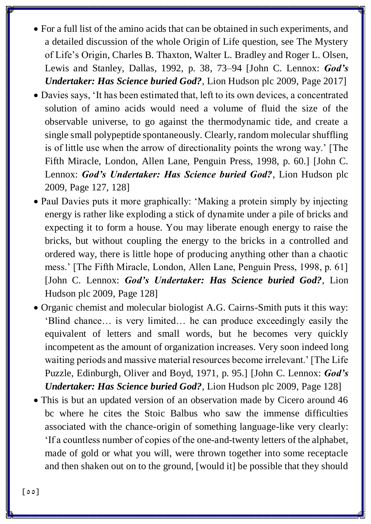- For a full list of the amino acids that can be obtained in such experiments, and a detailed discussion of the whole Origin of Life question, see The Mystery of Life's Origin, Charles B. Thaxton, Walter L. Bradley and Roger L. Olsen, Lewis and Stanley, Dallas, 1992, p. 38, 73–94 [John C. Lennox: *God's Undertaker: Has Science buried God?*, Lion Hudson plc 2009, Page 2017]
- Davies says, 'It has been estimated that, left to its own devices, a concentrated solution of amino acids would need a volume of fluid the size of the observable universe, to go against the thermodynamic tide, and create a single small polypeptide spontaneously. Clearly, random molecular shuffling is of little use when the arrow of directionality points the wrong way.' [The Fifth Miracle, London, Allen Lane, Penguin Press, 1998, p. 60.] [John C. Lennox: *God's Undertaker: Has Science buried God?*, Lion Hudson plc 2009, Page 127, 128]
- Paul Davies puts it more graphically: 'Making a protein simply by injecting energy is rather like exploding a stick of dynamite under a pile of bricks and expecting it to form a house. You may liberate enough energy to raise the bricks, but without coupling the energy to the bricks in a controlled and ordered way, there is little hope of producing anything other than a chaotic mess.' [The Fifth Miracle, London, Allen Lane, Penguin Press, 1998, p. 61] [John C. Lennox: *God's Undertaker: Has Science buried God?*, Lion Hudson plc 2009, Page 128]
- Organic chemist and molecular biologist A.G. Cairns-Smith puts it this way: 'Blind chance… is very limited… he can produce exceedingly easily the equivalent of letters and small words, but he becomes very quickly incompetent as the amount of organization increases. Very soon indeed long waiting periods and massive material resources become irrelevant.' [The Life Puzzle, Edinburgh, Oliver and Boyd, 1971, p. 95.] [John C. Lennox: *God's Undertaker: Has Science buried God?*, Lion Hudson plc 2009, Page 128]
- This is but an updated version of an observation made by Cicero around 46 bc where he cites the Stoic Balbus who saw the immense difficulties associated with the chance-origin of something language-like very clearly: 'If a countless number of copies of the one-and-twenty letters of the alphabet, made of gold or what you will, were thrown together into some receptacle and then shaken out on to the ground, [would it] be possible that they should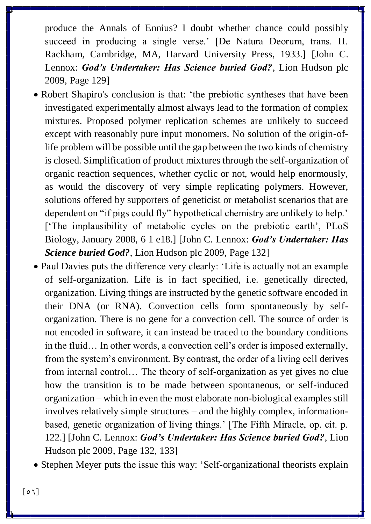produce the Annals of Ennius? I doubt whether chance could possibly succeed in producing a single verse.' [De Natura Deorum, trans. H. Rackham, Cambridge, MA, Harvard University Press, 1933.] [John C. Lennox: *God's Undertaker: Has Science buried God?*, Lion Hudson plc 2009, Page 129]

- Robert Shapiro's conclusion is that: 'the prebiotic syntheses that have been investigated experimentally almost always lead to the formation of complex mixtures. Proposed polymer replication schemes are unlikely to succeed except with reasonably pure input monomers. No solution of the origin-oflife problem will be possible until the gap between the two kinds of chemistry is closed. Simplification of product mixtures through the self-organization of organic reaction sequences, whether cyclic or not, would help enormously, as would the discovery of very simple replicating polymers. However, solutions offered by supporters of geneticist or metabolist scenarios that are dependent on "if pigs could fly" hypothetical chemistry are unlikely to help.' ['The implausibility of metabolic cycles on the prebiotic earth', PLoS Biology, January 2008, 6 1 e18.] [John C. Lennox: *God's Undertaker: Has Science buried God?*, Lion Hudson plc 2009, Page 132]
- Paul Davies puts the difference very clearly: 'Life is actually not an example of self-organization. Life is in fact specified, i.e. genetically directed, organization. Living things are instructed by the genetic software encoded in their DNA (or RNA). Convection cells form spontaneously by selforganization. There is no gene for a convection cell. The source of order is not encoded in software, it can instead be traced to the boundary conditions in the fluid… In other words, a convection cell's order is imposed externally, from the system's environment. By contrast, the order of a living cell derives from internal control… The theory of self-organization as yet gives no clue how the transition is to be made between spontaneous, or self-induced organization – which in even the most elaborate non-biological examples still involves relatively simple structures – and the highly complex, informationbased, genetic organization of living things.' [The Fifth Miracle, op. cit. p. 122.] [John C. Lennox: *God's Undertaker: Has Science buried God?*, Lion Hudson plc 2009, Page 132, 133]

Stephen Meyer puts the issue this way: 'Self-organizational theorists explain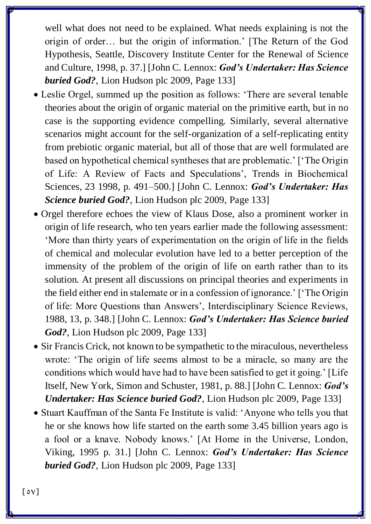well what does not need to be explained. What needs explaining is not the origin of order… but the origin of information.' [The Return of the God Hypothesis, Seattle, Discovery Institute Center for the Renewal of Science and Culture, 1998, p. 37.] [John C. Lennox: *God's Undertaker: Has Science buried God?*, Lion Hudson plc 2009, Page 133]

- Leslie Orgel, summed up the position as follows: 'There are several tenable theories about the origin of organic material on the primitive earth, but in no case is the supporting evidence compelling. Similarly, several alternative scenarios might account for the self-organization of a self-replicating entity from prebiotic organic material, but all of those that are well formulated are based on hypothetical chemical syntheses that are problematic.' ['The Origin of Life: A Review of Facts and Speculations', Trends in Biochemical Sciences, 23 1998, p. 491–500.] [John C. Lennox: *God's Undertaker: Has Science buried God?*, Lion Hudson plc 2009, Page 133]
- Orgel therefore echoes the view of Klaus Dose, also a prominent worker in origin of life research, who ten years earlier made the following assessment: 'More than thirty years of experimentation on the origin of life in the fields of chemical and molecular evolution have led to a better perception of the immensity of the problem of the origin of life on earth rather than to its solution. At present all discussions on principal theories and experiments in the field either end in stalemate or in a confession of ignorance.' ['The Origin of life: More Questions than Answers', Interdisciplinary Science Reviews, 1988, 13, p. 348.] [John C. Lennox: *God's Undertaker: Has Science buried God?*, Lion Hudson plc 2009, Page 133]
- Sir Francis Crick, not known to be sympathetic to the miraculous, nevertheless wrote: 'The origin of life seems almost to be a miracle, so many are the conditions which would have had to have been satisfied to get it going.' [Life Itself, New York, Simon and Schuster, 1981, p. 88.] [John C. Lennox: *God's Undertaker: Has Science buried God?*, Lion Hudson plc 2009, Page 133]
- Stuart Kauffman of the Santa Fe Institute is valid: 'Anyone who tells you that he or she knows how life started on the earth some 3.45 billion years ago is a fool or a knave. Nobody knows.' [At Home in the Universe, London, Viking, 1995 p. 31.] [John C. Lennox: *God's Undertaker: Has Science buried God?*, Lion Hudson plc 2009, Page 133]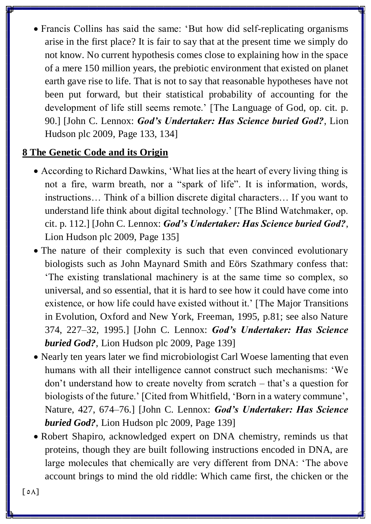Francis Collins has said the same: 'But how did self-replicating organisms arise in the first place? It is fair to say that at the present time we simply do not know. No current hypothesis comes close to explaining how in the space of a mere 150 million years, the prebiotic environment that existed on planet earth gave rise to life. That is not to say that reasonable hypotheses have not been put forward, but their statistical probability of accounting for the development of life still seems remote.' [The Language of God, op. cit. p. 90.] [John C. Lennox: *God's Undertaker: Has Science buried God?*, Lion Hudson plc 2009, Page 133, 134]

# **8 The Genetic Code and its Origin**

- According to Richard Dawkins, 'What lies at the heart of every living thing is not a fire, warm breath, nor a "spark of life". It is information, words, instructions… Think of a billion discrete digital characters… If you want to understand life think about digital technology.' [The Blind Watchmaker, op. cit. p. 112.] [John C. Lennox: *God's Undertaker: Has Science buried God?*, Lion Hudson plc 2009, Page 135]
- The nature of their complexity is such that even convinced evolutionary biologists such as John Maynard Smith and Eörs Szathmary confess that: 'The existing translational machinery is at the same time so complex, so universal, and so essential, that it is hard to see how it could have come into existence, or how life could have existed without it.' [The Major Transitions in Evolution, Oxford and New York, Freeman, 1995, p.81; see also Nature 374, 227–32, 1995.] [John C. Lennox: *God's Undertaker: Has Science buried God?*, Lion Hudson plc 2009, Page 139]
- Nearly ten years later we find microbiologist Carl Woese lamenting that even humans with all their intelligence cannot construct such mechanisms: 'We don't understand how to create novelty from scratch – that's a question for biologists of the future.' [Cited from Whitfield, 'Born in a watery commune', Nature, 427, 674–76.] [John C. Lennox: *God's Undertaker: Has Science buried God?*, Lion Hudson plc 2009, Page 139]
- Robert Shapiro, acknowledged expert on DNA chemistry, reminds us that proteins, though they are built following instructions encoded in DNA, are large molecules that chemically are very different from DNA: 'The above account brings to mind the old riddle: Which came first, the chicken or the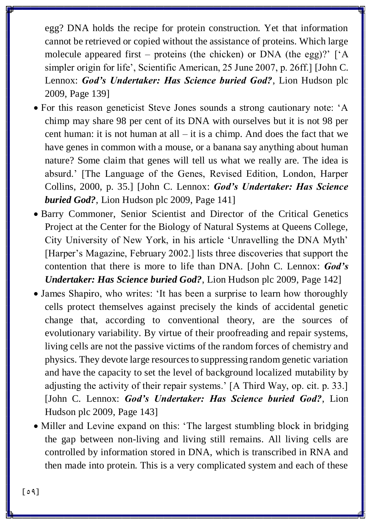egg? DNA holds the recipe for protein construction. Yet that information cannot be retrieved or copied without the assistance of proteins. Which large molecule appeared first – proteins (the chicken) or DNA (the egg)?'  $\lceil A \rceil$ simpler origin for life', Scientific American, 25 June 2007, p. 26ff.] [John C. Lennox: *God's Undertaker: Has Science buried God?*, Lion Hudson plc 2009, Page 139]

- For this reason geneticist Steve Jones sounds a strong cautionary note: 'A chimp may share 98 per cent of its DNA with ourselves but it is not 98 per cent human: it is not human at all  $-$  it is a chimp. And does the fact that we have genes in common with a mouse, or a banana say anything about human nature? Some claim that genes will tell us what we really are. The idea is absurd.' [The Language of the Genes, Revised Edition, London, Harper Collins, 2000, p. 35.] [John C. Lennox: *God's Undertaker: Has Science buried God?*, Lion Hudson plc 2009, Page 141]
- Barry Commoner, Senior Scientist and Director of the Critical Genetics Project at the Center for the Biology of Natural Systems at Queens College, City University of New York, in his article 'Unravelling the DNA Myth' [Harper's Magazine, February 2002.] lists three discoveries that support the contention that there is more to life than DNA. [John C. Lennox: *God's Undertaker: Has Science buried God?*, Lion Hudson plc 2009, Page 142]
- James Shapiro, who writes: 'It has been a surprise to learn how thoroughly cells protect themselves against precisely the kinds of accidental genetic change that, according to conventional theory, are the sources of evolutionary variability. By virtue of their proofreading and repair systems, living cells are not the passive victims of the random forces of chemistry and physics. They devote large resources to suppressing random genetic variation and have the capacity to set the level of background localized mutability by adjusting the activity of their repair systems.' [A Third Way, op. cit. p. 33.] [John C. Lennox: *God's Undertaker: Has Science buried God?*, Lion Hudson plc 2009, Page 143]
- Miller and Levine expand on this: 'The largest stumbling block in bridging the gap between non-living and living still remains. All living cells are controlled by information stored in DNA, which is transcribed in RNA and then made into protein. This is a very complicated system and each of these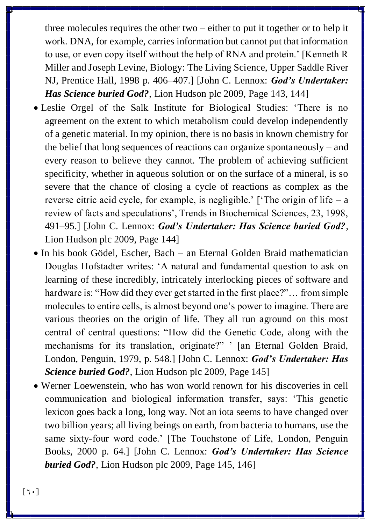three molecules requires the other two – either to put it together or to help it work. DNA, for example, carries information but cannot put that information to use, or even copy itself without the help of RNA and protein.' [Kenneth R Miller and Joseph Levine, Biology: The Living Science, Upper Saddle River NJ, Prentice Hall, 1998 p. 406–407.] [John C. Lennox: *God's Undertaker: Has Science buried God?*, Lion Hudson plc 2009, Page 143, 144]

- Leslie Orgel of the Salk Institute for Biological Studies: 'There is no agreement on the extent to which metabolism could develop independently of a genetic material. In my opinion, there is no basis in known chemistry for the belief that long sequences of reactions can organize spontaneously – and every reason to believe they cannot. The problem of achieving sufficient specificity, whether in aqueous solution or on the surface of a mineral, is so severe that the chance of closing a cycle of reactions as complex as the reverse citric acid cycle, for example, is negligible.' ['The origin of life – a review of facts and speculations', Trends in Biochemical Sciences, 23, 1998, 491–95.] [John C. Lennox: *God's Undertaker: Has Science buried God?*, Lion Hudson plc 2009, Page 144]
- In his book Gödel, Escher, Bach an Eternal Golden Braid mathematician Douglas Hofstadter writes: 'A natural and fundamental question to ask on learning of these incredibly, intricately interlocking pieces of software and hardware is: "How did they ever get started in the first place?"… from simple molecules to entire cells, is almost beyond one's power to imagine. There are various theories on the origin of life. They all run aground on this most central of central questions: "How did the Genetic Code, along with the mechanisms for its translation, originate?" ' [an Eternal Golden Braid, London, Penguin, 1979, p. 548.] [John C. Lennox: *God's Undertaker: Has Science buried God?*, Lion Hudson plc 2009, Page 145]
- Werner Loewenstein, who has won world renown for his discoveries in cell communication and biological information transfer, says: 'This genetic lexicon goes back a long, long way. Not an iota seems to have changed over two billion years; all living beings on earth, from bacteria to humans, use the same sixty-four word code.' [The Touchstone of Life, London, Penguin Books, 2000 p. 64.] [John C. Lennox: *God's Undertaker: Has Science buried God?*, Lion Hudson plc 2009, Page 145, 146]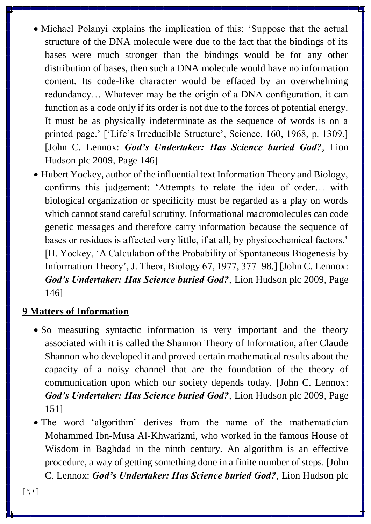- Michael Polanyi explains the implication of this: 'Suppose that the actual structure of the DNA molecule were due to the fact that the bindings of its bases were much stronger than the bindings would be for any other distribution of bases, then such a DNA molecule would have no information content. Its code-like character would be effaced by an overwhelming redundancy… Whatever may be the origin of a DNA configuration, it can function as a code only if its order is not due to the forces of potential energy. It must be as physically indeterminate as the sequence of words is on a printed page.' ['Life's Irreducible Structure', Science, 160, 1968, p. 1309.] [John C. Lennox: *God's Undertaker: Has Science buried God?*, Lion Hudson plc 2009, Page 146]
- Hubert Yockey, author of the influential text Information Theory and Biology, confirms this judgement: 'Attempts to relate the idea of order… with biological organization or specificity must be regarded as a play on words which cannot stand careful scrutiny. Informational macromolecules can code genetic messages and therefore carry information because the sequence of bases or residues is affected very little, if at all, by physicochemical factors.' [H. Yockey, 'A Calculation of the Probability of Spontaneous Biogenesis by Information Theory', J. Theor, Biology 67, 1977, 377–98.] [John C. Lennox: *God's Undertaker: Has Science buried God?*, Lion Hudson plc 2009, Page 146]

## **9 Matters of Information**

- So measuring syntactic information is very important and the theory associated with it is called the Shannon Theory of Information, after Claude Shannon who developed it and proved certain mathematical results about the capacity of a noisy channel that are the foundation of the theory of communication upon which our society depends today. [John C. Lennox: *God's Undertaker: Has Science buried God?*, Lion Hudson plc 2009, Page 151]
- The word 'algorithm' derives from the name of the mathematician Mohammed Ibn-Musa Al-Khwarizmi, who worked in the famous House of Wisdom in Baghdad in the ninth century. An algorithm is an effective procedure, a way of getting something done in a finite number of steps. [John C. Lennox: *God's Undertaker: Has Science buried God?*, Lion Hudson plc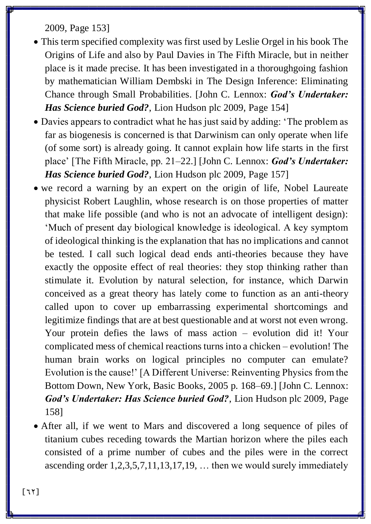2009, Page 153]

- This term specified complexity was first used by Leslie Orgel in his book The Origins of Life and also by Paul Davies in The Fifth Miracle, but in neither place is it made precise. It has been investigated in a thoroughgoing fashion by mathematician William Dembski in The Design Inference: Eliminating Chance through Small Probabilities. [John C. Lennox: *God's Undertaker: Has Science buried God?*, Lion Hudson plc 2009, Page 154]
- Davies appears to contradict what he has just said by adding: 'The problem as far as biogenesis is concerned is that Darwinism can only operate when life (of some sort) is already going. It cannot explain how life starts in the first place' [The Fifth Miracle, pp. 21–22.] [John C. Lennox: *God's Undertaker: Has Science buried God?*, Lion Hudson plc 2009, Page 157]
- we record a warning by an expert on the origin of life, Nobel Laureate physicist Robert Laughlin, whose research is on those properties of matter that make life possible (and who is not an advocate of intelligent design): 'Much of present day biological knowledge is ideological. A key symptom of ideological thinking is the explanation that has no implications and cannot be tested. I call such logical dead ends anti-theories because they have exactly the opposite effect of real theories: they stop thinking rather than stimulate it. Evolution by natural selection, for instance, which Darwin conceived as a great theory has lately come to function as an anti-theory called upon to cover up embarrassing experimental shortcomings and legitimize findings that are at best questionable and at worst not even wrong. Your protein defies the laws of mass action – evolution did it! Your complicated mess of chemical reactions turns into a chicken – evolution! The human brain works on logical principles no computer can emulate? Evolution is the cause!' [A Different Universe: Reinventing Physics from the Bottom Down, New York, Basic Books, 2005 p. 168–69.] [John C. Lennox: *God's Undertaker: Has Science buried God?*, Lion Hudson plc 2009, Page 158]
- After all, if we went to Mars and discovered a long sequence of piles of titanium cubes receding towards the Martian horizon where the piles each consisted of a prime number of cubes and the piles were in the correct ascending order 1,2,3,5,7,11,13,17,19, … then we would surely immediately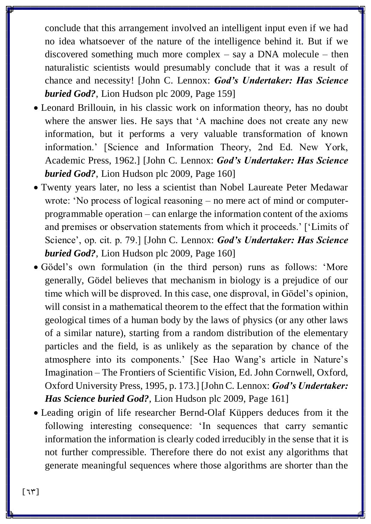conclude that this arrangement involved an intelligent input even if we had no idea whatsoever of the nature of the intelligence behind it. But if we discovered something much more complex – say a DNA molecule – then naturalistic scientists would presumably conclude that it was a result of chance and necessity! [John C. Lennox: *God's Undertaker: Has Science buried God?*, Lion Hudson plc 2009, Page 159]

- Leonard Brillouin, in his classic work on information theory, has no doubt where the answer lies. He says that 'A machine does not create any new information, but it performs a very valuable transformation of known information.' [Science and Information Theory, 2nd Ed. New York, Academic Press, 1962.] [John C. Lennox: *God's Undertaker: Has Science buried God?*, Lion Hudson plc 2009, Page 160]
- Twenty years later, no less a scientist than Nobel Laureate Peter Medawar wrote: 'No process of logical reasoning – no mere act of mind or computerprogrammable operation – can enlarge the information content of the axioms and premises or observation statements from which it proceeds.' ['Limits of Science', op. cit. p. 79.] [John C. Lennox: *God's Undertaker: Has Science buried God?*, Lion Hudson plc 2009, Page 160]
- Gödel's own formulation (in the third person) runs as follows: 'More generally, Gödel believes that mechanism in biology is a prejudice of our time which will be disproved. In this case, one disproval, in Gödel's opinion, will consist in a mathematical theorem to the effect that the formation within geological times of a human body by the laws of physics (or any other laws of a similar nature), starting from a random distribution of the elementary particles and the field, is as unlikely as the separation by chance of the atmosphere into its components.' [See Hao Wang's article in Nature's Imagination – The Frontiers of Scientific Vision, Ed. John Cornwell, Oxford, Oxford University Press, 1995, p. 173.] [John C. Lennox: *God's Undertaker: Has Science buried God?*, Lion Hudson plc 2009, Page 161]
- Leading origin of life researcher Bernd-Olaf Küppers deduces from it the following interesting consequence: 'In sequences that carry semantic information the information is clearly coded irreducibly in the sense that it is not further compressible. Therefore there do not exist any algorithms that generate meaningful sequences where those algorithms are shorter than the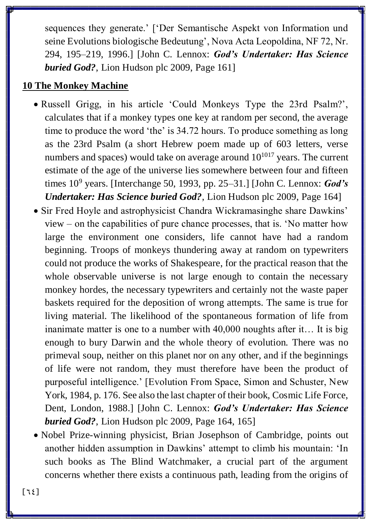sequences they generate.' ['Der Semantische Aspekt von Information und seine Evolutions biologische Bedeutung', Nova Acta Leopoldina, NF 72, Nr. 294, 195–219, 1996.] [John C. Lennox: *God's Undertaker: Has Science buried God?*, Lion Hudson plc 2009, Page 161]

### **10 The Monkey Machine**

- Russell Grigg, in his article 'Could Monkeys Type the 23rd Psalm?', calculates that if a monkey types one key at random per second, the average time to produce the word 'the' is 34.72 hours. To produce something as long as the 23rd Psalm (a short Hebrew poem made up of 603 letters, verse numbers and spaces) would take on average around  $10^{1017}$  years. The current estimate of the age of the universe lies somewhere between four and fifteen times 10<sup>9</sup> years. [Interchange 50, 1993, pp. 25–31.] [John C. Lennox: *God's Undertaker: Has Science buried God?*, Lion Hudson plc 2009, Page 164]
- Sir Fred Hoyle and astrophysicist Chandra Wickramasinghe share Dawkins' view – on the capabilities of pure chance processes, that is. 'No matter how large the environment one considers, life cannot have had a random beginning. Troops of monkeys thundering away at random on typewriters could not produce the works of Shakespeare, for the practical reason that the whole observable universe is not large enough to contain the necessary monkey hordes, the necessary typewriters and certainly not the waste paper baskets required for the deposition of wrong attempts. The same is true for living material. The likelihood of the spontaneous formation of life from inanimate matter is one to a number with 40,000 noughts after it… It is big enough to bury Darwin and the whole theory of evolution. There was no primeval soup, neither on this planet nor on any other, and if the beginnings of life were not random, they must therefore have been the product of purposeful intelligence.' [Evolution From Space, Simon and Schuster, New York, 1984, p. 176. See also the last chapter of their book, Cosmic Life Force, Dent, London, 1988.] [John C. Lennox: *God's Undertaker: Has Science buried God?*, Lion Hudson plc 2009, Page 164, 165]
- Nobel Prize-winning physicist, Brian Josephson of Cambridge, points out another hidden assumption in Dawkins' attempt to climb his mountain: 'In such books as The Blind Watchmaker, a crucial part of the argument concerns whether there exists a continuous path, leading from the origins of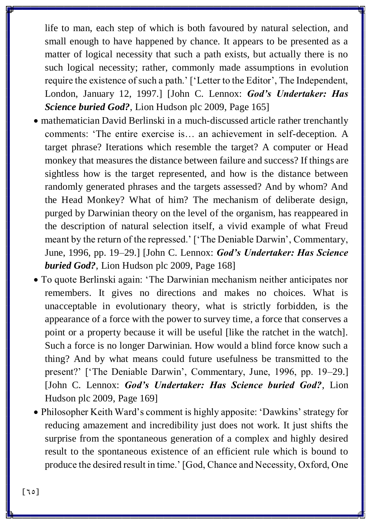life to man, each step of which is both favoured by natural selection, and small enough to have happened by chance. It appears to be presented as a matter of logical necessity that such a path exists, but actually there is no such logical necessity; rather, commonly made assumptions in evolution require the existence of such a path.' ['Letter to the Editor', The Independent, London, January 12, 1997.] [John C. Lennox: *God's Undertaker: Has Science buried God?*, Lion Hudson plc 2009, Page 165]

- mathematician David Berlinski in a much-discussed article rather trenchantly comments: 'The entire exercise is… an achievement in self-deception. A target phrase? Iterations which resemble the target? A computer or Head monkey that measures the distance between failure and success? If things are sightless how is the target represented, and how is the distance between randomly generated phrases and the targets assessed? And by whom? And the Head Monkey? What of him? The mechanism of deliberate design, purged by Darwinian theory on the level of the organism, has reappeared in the description of natural selection itself, a vivid example of what Freud meant by the return of the repressed.' ['The Deniable Darwin', Commentary, June, 1996, pp. 19–29.] [John C. Lennox: *God's Undertaker: Has Science buried God?*, Lion Hudson plc 2009, Page 168]
- To quote Berlinski again: 'The Darwinian mechanism neither anticipates nor remembers. It gives no directions and makes no choices. What is unacceptable in evolutionary theory, what is strictly forbidden, is the appearance of a force with the power to survey time, a force that conserves a point or a property because it will be useful [like the ratchet in the watch]. Such a force is no longer Darwinian. How would a blind force know such a thing? And by what means could future usefulness be transmitted to the present?' ['The Deniable Darwin', Commentary, June, 1996, pp. 19–29.] [John C. Lennox: *God's Undertaker: Has Science buried God?*, Lion Hudson plc 2009, Page 169]
- Philosopher Keith Ward's comment is highly apposite: 'Dawkins' strategy for reducing amazement and incredibility just does not work. It just shifts the surprise from the spontaneous generation of a complex and highly desired result to the spontaneous existence of an efficient rule which is bound to produce the desired result in time.' [God, Chance and Necessity, Oxford, One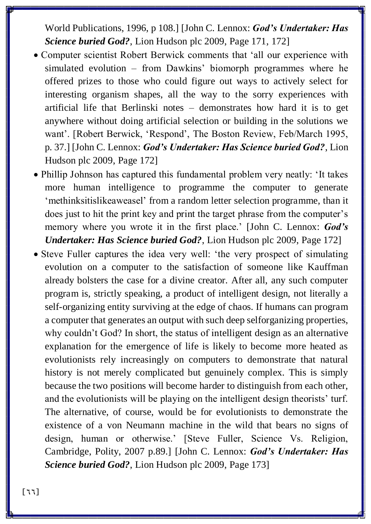World Publications, 1996, p 108.] [John C. Lennox: *God's Undertaker: Has Science buried God?*, Lion Hudson plc 2009, Page 171, 172]

- Computer scientist Robert Berwick comments that 'all our experience with simulated evolution – from Dawkins' biomorph programmes where he offered prizes to those who could figure out ways to actively select for interesting organism shapes, all the way to the sorry experiences with artificial life that Berlinski notes – demonstrates how hard it is to get anywhere without doing artificial selection or building in the solutions we want'. [Robert Berwick, 'Respond', The Boston Review, Feb/March 1995, p. 37.] [John C. Lennox: *God's Undertaker: Has Science buried God?*, Lion Hudson plc 2009, Page 172]
- Phillip Johnson has captured this fundamental problem very neatly: 'It takes more human intelligence to programme the computer to generate 'methinksitislikeaweasel' from a random letter selection programme, than it does just to hit the print key and print the target phrase from the computer's memory where you wrote it in the first place.' [John C. Lennox: *God's Undertaker: Has Science buried God?*, Lion Hudson plc 2009, Page 172]
- Steve Fuller captures the idea very well: 'the very prospect of simulating evolution on a computer to the satisfaction of someone like Kauffman already bolsters the case for a divine creator. After all, any such computer program is, strictly speaking, a product of intelligent design, not literally a self-organizing entity surviving at the edge of chaos. If humans can program a computer that generates an output with such deep selforganizing properties, why couldn't God? In short, the status of intelligent design as an alternative explanation for the emergence of life is likely to become more heated as evolutionists rely increasingly on computers to demonstrate that natural history is not merely complicated but genuinely complex. This is simply because the two positions will become harder to distinguish from each other, and the evolutionists will be playing on the intelligent design theorists' turf. The alternative, of course, would be for evolutionists to demonstrate the existence of a von Neumann machine in the wild that bears no signs of design, human or otherwise.' [Steve Fuller, Science Vs. Religion, Cambridge, Polity, 2007 p.89.] [John C. Lennox: *God's Undertaker: Has Science buried God?*, Lion Hudson plc 2009, Page 173]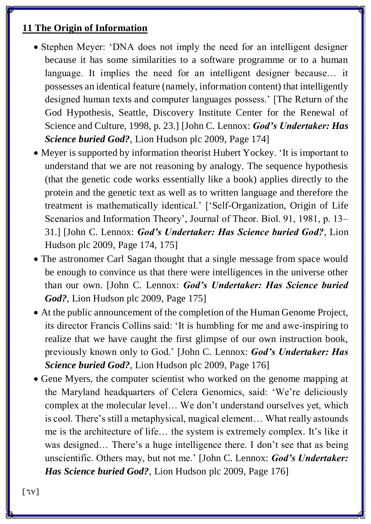### **11 The Origin of Information**

- Stephen Meyer: 'DNA does not imply the need for an intelligent designer because it has some similarities to a software programme or to a human language. It implies the need for an intelligent designer because… it possesses an identical feature (namely, information content) that intelligently designed human texts and computer languages possess.' [The Return of the God Hypothesis, Seattle, Discovery Institute Center for the Renewal of Science and Culture, 1998, p. 23.] [John C. Lennox: *God's Undertaker: Has Science buried God?*, Lion Hudson plc 2009, Page 174]
- Meyer is supported by information theorist Hubert Yockey. 'It is important to understand that we are not reasoning by analogy. The sequence hypothesis (that the genetic code works essentially like a book) applies directly to the protein and the genetic text as well as to written language and therefore the treatment is mathematically identical.' ['Self-Organization, Origin of Life Scenarios and Information Theory', Journal of Theor. Biol. 91, 1981, p. 13– 31.] [John C. Lennox: *God's Undertaker: Has Science buried God?*, Lion Hudson plc 2009, Page 174, 175]
- The astronomer Carl Sagan thought that a single message from space would be enough to convince us that there were intelligences in the universe other than our own. [John C. Lennox: *God's Undertaker: Has Science buried God?*, Lion Hudson plc 2009, Page 175]
- At the public announcement of the completion of the Human Genome Project, its director Francis Collins said: 'It is humbling for me and awe-inspiring to realize that we have caught the first glimpse of our own instruction book, previously known only to God.' [John C. Lennox: *God's Undertaker: Has Science buried God?*, Lion Hudson plc 2009, Page 176]
- Gene Myers, the computer scientist who worked on the genome mapping at the Maryland headquarters of Celera Genomics, said: 'We're deliciously complex at the molecular level… We don't understand ourselves yet, which is cool. There's still a metaphysical, magical element… What really astounds me is the architecture of life… the system is extremely complex. It's like it was designed… There's a huge intelligence there. I don't see that as being unscientific. Others may, but not me.' [John C. Lennox: *God's Undertaker: Has Science buried God?*, Lion Hudson plc 2009, Page 176]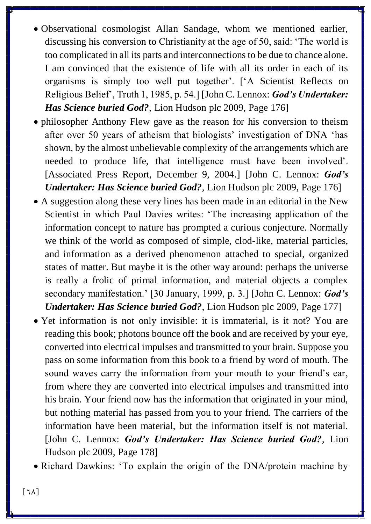- Observational cosmologist Allan Sandage, whom we mentioned earlier, discussing his conversion to Christianity at the age of 50, said: 'The world is too complicated in all its parts and interconnections to be due to chance alone. I am convinced that the existence of life with all its order in each of its organisms is simply too well put together'. ['A Scientist Reflects on Religious Belief', Truth 1, 1985, p. 54.] [John C. Lennox: *God's Undertaker: Has Science buried God?*, Lion Hudson plc 2009, Page 176]
- philosopher Anthony Flew gave as the reason for his conversion to theism after over 50 years of atheism that biologists' investigation of DNA 'has shown, by the almost unbelievable complexity of the arrangements which are needed to produce life, that intelligence must have been involved'. [Associated Press Report, December 9, 2004.] [John C. Lennox: *God's Undertaker: Has Science buried God?*, Lion Hudson plc 2009, Page 176]
- A suggestion along these very lines has been made in an editorial in the New Scientist in which Paul Davies writes: 'The increasing application of the information concept to nature has prompted a curious conjecture. Normally we think of the world as composed of simple, clod-like, material particles, and information as a derived phenomenon attached to special, organized states of matter. But maybe it is the other way around: perhaps the universe is really a frolic of primal information, and material objects a complex secondary manifestation.' [30 January, 1999, p. 3.] [John C. Lennox: *God's Undertaker: Has Science buried God?*, Lion Hudson plc 2009, Page 177]
- Yet information is not only invisible: it is immaterial, is it not? You are reading this book; photons bounce off the book and are received by your eye, converted into electrical impulses and transmitted to your brain. Suppose you pass on some information from this book to a friend by word of mouth. The sound waves carry the information from your mouth to your friend's ear, from where they are converted into electrical impulses and transmitted into his brain. Your friend now has the information that originated in your mind, but nothing material has passed from you to your friend. The carriers of the information have been material, but the information itself is not material. [John C. Lennox: *God's Undertaker: Has Science buried God?*, Lion Hudson plc 2009, Page 178]
- Richard Dawkins: 'To explain the origin of the DNA/protein machine by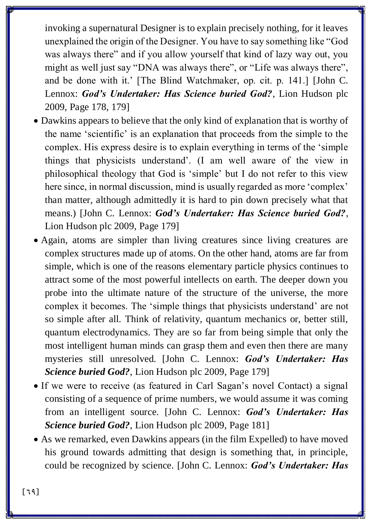invoking a supernatural Designer is to explain precisely nothing, for it leaves unexplained the origin of the Designer. You have to say something like "God was always there" and if you allow yourself that kind of lazy way out, you might as well just say "DNA was always there", or "Life was always there", and be done with it.' [The Blind Watchmaker, op. cit. p. 141.] [John C. Lennox: *God's Undertaker: Has Science buried God?*, Lion Hudson plc 2009, Page 178, 179]

- Dawkins appears to believe that the only kind of explanation that is worthy of the name 'scientific' is an explanation that proceeds from the simple to the complex. His express desire is to explain everything in terms of the 'simple things that physicists understand'. (I am well aware of the view in philosophical theology that God is 'simple' but I do not refer to this view here since, in normal discussion, mind is usually regarded as more 'complex' than matter, although admittedly it is hard to pin down precisely what that means.) [John C. Lennox: *God's Undertaker: Has Science buried God?*, Lion Hudson plc 2009, Page 179]
- Again, atoms are simpler than living creatures since living creatures are complex structures made up of atoms. On the other hand, atoms are far from simple, which is one of the reasons elementary particle physics continues to attract some of the most powerful intellects on earth. The deeper down you probe into the ultimate nature of the structure of the universe, the more complex it becomes. The 'simple things that physicists understand' are not so simple after all. Think of relativity, quantum mechanics or, better still, quantum electrodynamics. They are so far from being simple that only the most intelligent human minds can grasp them and even then there are many mysteries still unresolved. [John C. Lennox: *God's Undertaker: Has Science buried God?*, Lion Hudson plc 2009, Page 179]
- If we were to receive (as featured in Carl Sagan's novel Contact) a signal consisting of a sequence of prime numbers, we would assume it was coming from an intelligent source. [John C. Lennox: *God's Undertaker: Has Science buried God?*, Lion Hudson plc 2009, Page 181]
- As we remarked, even Dawkins appears (in the film Expelled) to have moved his ground towards admitting that design is something that, in principle, could be recognized by science. [John C. Lennox: *God's Undertaker: Has*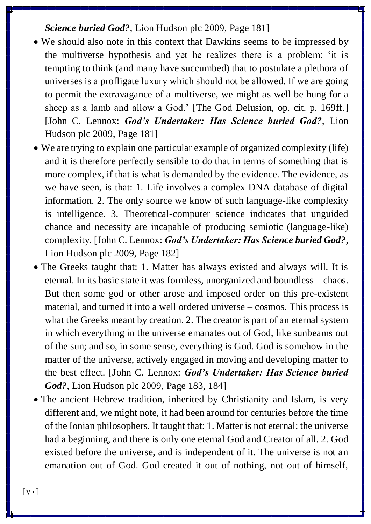#### *Science buried God?*, Lion Hudson plc 2009, Page 181]

- We should also note in this context that Dawkins seems to be impressed by the multiverse hypothesis and yet he realizes there is a problem: 'it is tempting to think (and many have succumbed) that to postulate a plethora of universes is a profligate luxury which should not be allowed. If we are going to permit the extravagance of a multiverse, we might as well be hung for a sheep as a lamb and allow a God.' [The God Delusion, op. cit. p. 169ff.] [John C. Lennox: *God's Undertaker: Has Science buried God?*, Lion Hudson plc 2009, Page 181]
- We are trying to explain one particular example of organized complexity (life) and it is therefore perfectly sensible to do that in terms of something that is more complex, if that is what is demanded by the evidence. The evidence, as we have seen, is that: 1. Life involves a complex DNA database of digital information. 2. The only source we know of such language-like complexity is intelligence. 3. Theoretical-computer science indicates that unguided chance and necessity are incapable of producing semiotic (language-like) complexity. [John C. Lennox: *God's Undertaker: Has Science buried God?*, Lion Hudson plc 2009, Page 182]
- The Greeks taught that: 1. Matter has always existed and always will. It is eternal. In its basic state it was formless, unorganized and boundless – chaos. But then some god or other arose and imposed order on this pre-existent material, and turned it into a well ordered universe – cosmos. This process is what the Greeks meant by creation. 2. The creator is part of an eternal system in which everything in the universe emanates out of God, like sunbeams out of the sun; and so, in some sense, everything is God. God is somehow in the matter of the universe, actively engaged in moving and developing matter to the best effect. [John C. Lennox: *God's Undertaker: Has Science buried God?*, Lion Hudson plc 2009, Page 183, 184]
- The ancient Hebrew tradition, inherited by Christianity and Islam, is very different and, we might note, it had been around for centuries before the time of the Ionian philosophers. It taught that: 1. Matter is not eternal: the universe had a beginning, and there is only one eternal God and Creator of all. 2. God existed before the universe, and is independent of it. The universe is not an emanation out of God. God created it out of nothing, not out of himself,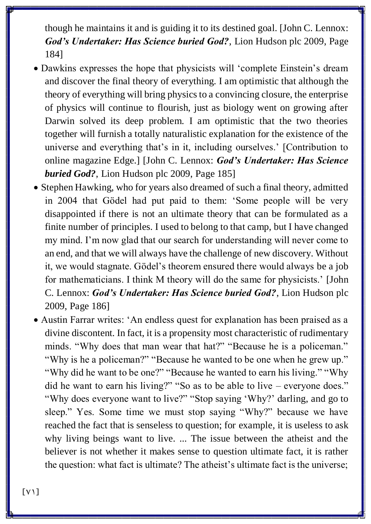though he maintains it and is guiding it to its destined goal. [John C. Lennox: *God's Undertaker: Has Science buried God?*, Lion Hudson plc 2009, Page 184]

- Dawkins expresses the hope that physicists will 'complete Einstein's dream and discover the final theory of everything. I am optimistic that although the theory of everything will bring physics to a convincing closure, the enterprise of physics will continue to flourish, just as biology went on growing after Darwin solved its deep problem. I am optimistic that the two theories together will furnish a totally naturalistic explanation for the existence of the universe and everything that's in it, including ourselves.' [Contribution to online magazine Edge.] [John C. Lennox: *God's Undertaker: Has Science buried God?*, Lion Hudson plc 2009, Page 185]
- Stephen Hawking, who for years also dreamed of such a final theory, admitted in 2004 that Gödel had put paid to them: 'Some people will be very disappointed if there is not an ultimate theory that can be formulated as a finite number of principles. I used to belong to that camp, but I have changed my mind. I'm now glad that our search for understanding will never come to an end, and that we will always have the challenge of new discovery. Without it, we would stagnate. Gödel's theorem ensured there would always be a job for mathematicians. I think M theory will do the same for physicists.' [John C. Lennox: *God's Undertaker: Has Science buried God?*, Lion Hudson plc 2009, Page 186]
- Austin Farrar writes: 'An endless quest for explanation has been praised as a divine discontent. In fact, it is a propensity most characteristic of rudimentary minds. "Why does that man wear that hat?" "Because he is a policeman." "Why is he a policeman?" "Because he wanted to be one when he grew up." "Why did he want to be one?" "Because he wanted to earn his living." "Why did he want to earn his living?" "So as to be able to live – everyone does." "Why does everyone want to live?" "Stop saying 'Why?' darling, and go to sleep." Yes. Some time we must stop saying "Why?" because we have reached the fact that is senseless to question; for example, it is useless to ask why living beings want to live. ... The issue between the atheist and the believer is not whether it makes sense to question ultimate fact, it is rather the question: what fact is ultimate? The atheist's ultimate fact is the universe;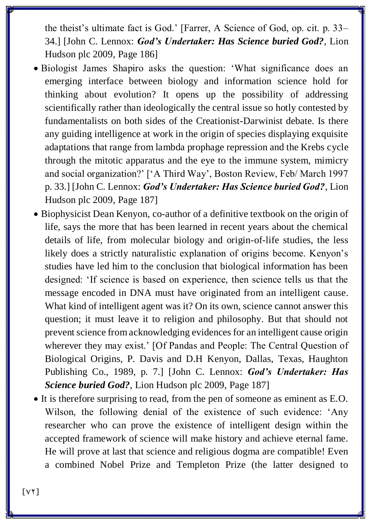the theist's ultimate fact is God.' [Farrer, A Science of God, op. cit. p. 33– 34.] [John C. Lennox: *God's Undertaker: Has Science buried God?*, Lion Hudson plc 2009, Page 186]

- Biologist James Shapiro asks the question: 'What significance does an emerging interface between biology and information science hold for thinking about evolution? It opens up the possibility of addressing scientifically rather than ideologically the central issue so hotly contested by fundamentalists on both sides of the Creationist-Darwinist debate. Is there any guiding intelligence at work in the origin of species displaying exquisite adaptations that range from lambda prophage repression and the Krebs cycle through the mitotic apparatus and the eye to the immune system, mimicry and social organization?' ['A Third Way', Boston Review, Feb/ March 1997 p. 33.] [John C. Lennox: *God's Undertaker: Has Science buried God?*, Lion Hudson plc 2009, Page 187]
- Biophysicist Dean Kenyon, co-author of a definitive textbook on the origin of life, says the more that has been learned in recent years about the chemical details of life, from molecular biology and origin-of-life studies, the less likely does a strictly naturalistic explanation of origins become. Kenyon's studies have led him to the conclusion that biological information has been designed: 'If science is based on experience, then science tells us that the message encoded in DNA must have originated from an intelligent cause. What kind of intelligent agent was it? On its own, science cannot answer this question; it must leave it to religion and philosophy. But that should not prevent science from acknowledging evidences for an intelligent cause origin wherever they may exist.' [Of Pandas and People: The Central Question of Biological Origins, P. Davis and D.H Kenyon, Dallas, Texas, Haughton Publishing Co., 1989, p. 7.] [John C. Lennox: *God's Undertaker: Has Science buried God?*, Lion Hudson plc 2009, Page 187]
- It is therefore surprising to read, from the pen of someone as eminent as E.O. Wilson, the following denial of the existence of such evidence: 'Any researcher who can prove the existence of intelligent design within the accepted framework of science will make history and achieve eternal fame. He will prove at last that science and religious dogma are compatible! Even a combined Nobel Prize and Templeton Prize (the latter designed to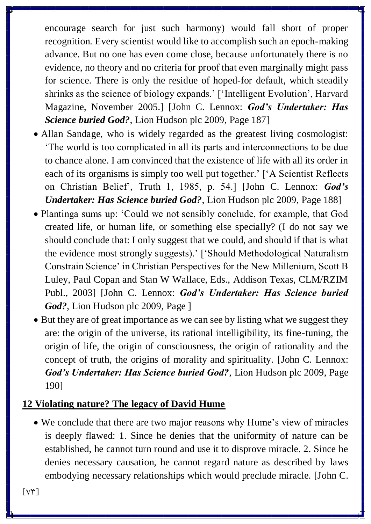encourage search for just such harmony) would fall short of proper recognition. Every scientist would like to accomplish such an epoch-making advance. But no one has even come close, because unfortunately there is no evidence, no theory and no criteria for proof that even marginally might pass for science. There is only the residue of hoped-for default, which steadily shrinks as the science of biology expands.' ['Intelligent Evolution', Harvard Magazine, November 2005.] [John C. Lennox: *God's Undertaker: Has Science buried God?*, Lion Hudson plc 2009, Page 187]

- Allan Sandage, who is widely regarded as the greatest living cosmologist: 'The world is too complicated in all its parts and interconnections to be due to chance alone. I am convinced that the existence of life with all its order in each of its organisms is simply too well put together.' ['A Scientist Reflects on Christian Belief', Truth 1, 1985, p. 54.] [John C. Lennox: *God's Undertaker: Has Science buried God?*, Lion Hudson plc 2009, Page 188]
- Plantinga sums up: 'Could we not sensibly conclude, for example, that God created life, or human life, or something else specially? (I do not say we should conclude that: I only suggest that we could, and should if that is what the evidence most strongly suggests).' ['Should Methodological Naturalism Constrain Science' in Christian Perspectives for the New Millenium, Scott B Luley, Paul Copan and Stan W Wallace, Eds., Addison Texas, CLM/RZIM Publ., 2003] [John C. Lennox: *God's Undertaker: Has Science buried God?*, Lion Hudson plc 2009, Page ]
- But they are of great importance as we can see by listing what we suggest they are: the origin of the universe, its rational intelligibility, its fine-tuning, the origin of life, the origin of consciousness, the origin of rationality and the concept of truth, the origins of morality and spirituality. [John C. Lennox: *God's Undertaker: Has Science buried God?*, Lion Hudson plc 2009, Page 190]

## **12 Violating nature? The legacy of David Hume**

 We conclude that there are two major reasons why Hume's view of miracles is deeply flawed: 1. Since he denies that the uniformity of nature can be established, he cannot turn round and use it to disprove miracle. 2. Since he denies necessary causation, he cannot regard nature as described by laws embodying necessary relationships which would preclude miracle. [John C.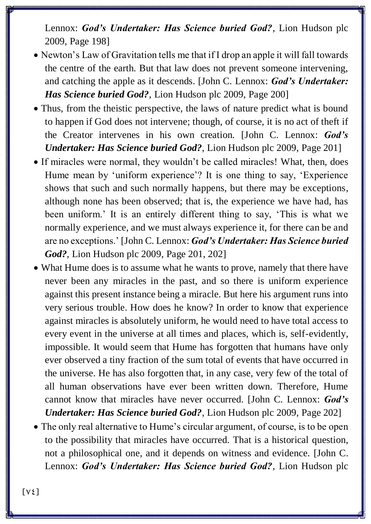Lennox: *God's Undertaker: Has Science buried God?*, Lion Hudson plc 2009, Page 198]

- Newton's Law of Gravitation tells me that if I drop an apple it will fall towards the centre of the earth. But that law does not prevent someone intervening, and catching the apple as it descends. [John C. Lennox: *God's Undertaker: Has Science buried God?*, Lion Hudson plc 2009, Page 200]
- Thus, from the theistic perspective, the laws of nature predict what is bound to happen if God does not intervene; though, of course, it is no act of theft if the Creator intervenes in his own creation. [John C. Lennox: *God's Undertaker: Has Science buried God?*, Lion Hudson plc 2009, Page 201]
- If miracles were normal, they wouldn't be called miracles! What, then, does Hume mean by 'uniform experience'? It is one thing to say, 'Experience shows that such and such normally happens, but there may be exceptions, although none has been observed; that is, the experience we have had, has been uniform.' It is an entirely different thing to say, 'This is what we normally experience, and we must always experience it, for there can be and are no exceptions.' [John C. Lennox: *God's Undertaker: Has Science buried God?*, Lion Hudson plc 2009, Page 201, 202]
- What Hume does is to assume what he wants to prove, namely that there have never been any miracles in the past, and so there is uniform experience against this present instance being a miracle. But here his argument runs into very serious trouble. How does he know? In order to know that experience against miracles is absolutely uniform, he would need to have total access to every event in the universe at all times and places, which is, self-evidently, impossible. It would seem that Hume has forgotten that humans have only ever observed a tiny fraction of the sum total of events that have occurred in the universe. He has also forgotten that, in any case, very few of the total of all human observations have ever been written down. Therefore, Hume cannot know that miracles have never occurred. [John C. Lennox: *God's Undertaker: Has Science buried God?*, Lion Hudson plc 2009, Page 2021
- The only real alternative to Hume's circular argument, of course, is to be open to the possibility that miracles have occurred. That is a historical question, not a philosophical one, and it depends on witness and evidence. [John C. Lennox: *God's Undertaker: Has Science buried God?*, Lion Hudson plc